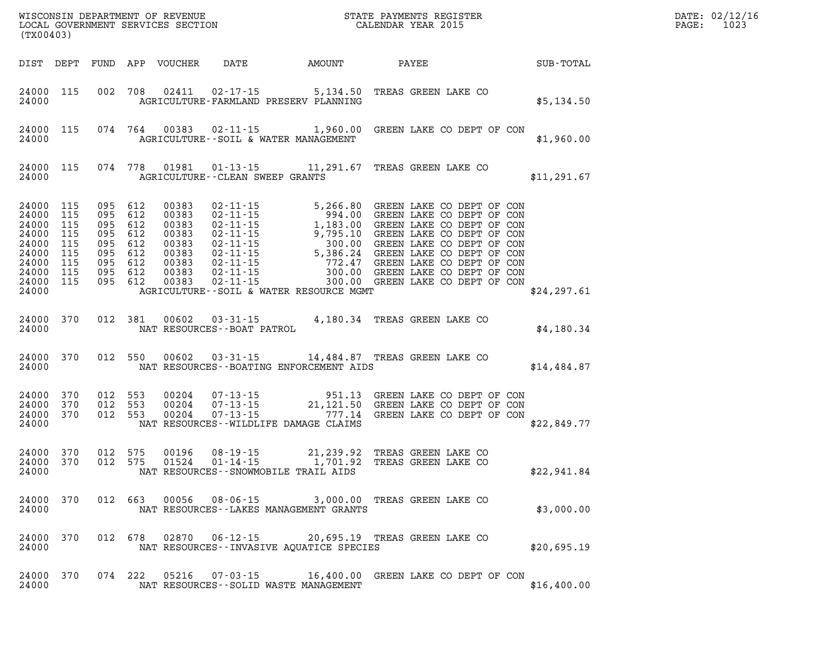| (TX00403)                                                                                          |                                        |                                                                                                 |                                                                               |                                   | WISCONSIN DEPARTMENT OF REVENUE<br>LOCAL GOVERNMENT SERVICES SECTION<br>CALENDAR YEAR 2015<br>$\mathbb{R}^n$                                                                     |  |  |  |              | $\mathtt{PAGE}$ : | DATE: 02/12/16<br>1023 |
|----------------------------------------------------------------------------------------------------|----------------------------------------|-------------------------------------------------------------------------------------------------|-------------------------------------------------------------------------------|-----------------------------------|----------------------------------------------------------------------------------------------------------------------------------------------------------------------------------|--|--|--|--------------|-------------------|------------------------|
| DIST DEPT                                                                                          |                                        |                                                                                                 |                                                                               |                                   | FUND APP VOUCHER DATE AMOUNT PAYEE                                                                                                                                               |  |  |  | SUB-TOTAL    |                   |                        |
| 24000                                                                                              | 24000 115                              |                                                                                                 |                                                                               |                                   | 002 708 02411 02-17-15 5,134.50 TREAS GREEN LAKE CO<br>AGRICULTURE-FARMLAND PRESERV PLANNING                                                                                     |  |  |  | \$5,134.50   |                   |                        |
| 24000                                                                                              | 24000 115                              |                                                                                                 |                                                                               |                                   | 074  764  00383  02-11-15  1,960.00  GREEN LAKE CO DEPT OF CON<br>AGRICULTURE--SOIL & WATER MANAGEMENT                                                                           |  |  |  | \$1,960.00   |                   |                        |
| 24000                                                                                              | 24000 115                              |                                                                                                 |                                                                               | AGRICULTURE -- CLEAN SWEEP GRANTS | 074 778 01981 01-13-15 11,291.67 TREAS GREEN LAKE CO                                                                                                                             |  |  |  | \$11, 291.67 |                   |                        |
| 24000 115<br>24000<br>24000<br>24000<br>24000<br>24000<br>24000<br>24000 115<br>24000 115<br>24000 | 115<br>115<br>115<br>115<br>115<br>115 | 095 612<br>095 612<br>095 612<br>095 612<br>095 612<br>095 612<br>095 612<br>095 612<br>095 612 | 00383<br>00383<br>00383<br>00383<br>00383<br>00383<br>00383<br>00383<br>00383 |                                   | AGRICULTURE--SOIL & WATER RESOURCE MGMT                                                                                                                                          |  |  |  | \$24, 297.61 |                   |                        |
| 24000                                                                                              | 24000 370                              |                                                                                                 |                                                                               | NAT RESOURCES--BOAT PATROL        | 012 381 00602 03-31-15 4,180.34 TREAS GREEN LAKE CO                                                                                                                              |  |  |  | \$4,180.34   |                   |                        |
| 24000                                                                                              | 24000 370                              |                                                                                                 | 012 550 00602                                                                 |                                   | 03-31-15 14,484.87 TREAS GREEN LAKE CO<br>NAT RESOURCES--BOATING ENFORCEMENT AIDS                                                                                                |  |  |  | \$14,484.87  |                   |                        |
| 24000<br>24000                                                                                     | 24000 370<br>370<br>24000 370          | 012 553<br>012 553<br>012 553                                                                   | 00204<br>00204<br>00204                                                       |                                   | 07-13-15 951.13 GREEN LAKE CO DEPT OF CON<br>07-13-15 21,121.50 GREEN LAKE CO DEPT OF CON<br>07-13-15 777.14 GREEN LAKE CO DEPT OF CON<br>NAT RESOURCES - WILDLIFE DAMAGE CLAIMS |  |  |  | \$22,849.77  |                   |                        |
| 24000 370<br>24000 370<br>24000                                                                    |                                        | 012 575<br>012 575                                                                              | 00196<br>01524                                                                |                                   | 08-19-15 21,239.92 TREAS GREEN LAKE CO<br>01-14-15 1,701.92 TREAS GREEN LAKE CO<br>NAT RESOURCES -- SNOWMOBILE TRAIL AIDS                                                        |  |  |  | \$22,941.84  |                   |                        |
| 24000 370<br>24000                                                                                 |                                        |                                                                                                 |                                                                               |                                   | 012  663  00056  08-06-15  3,000.00  TREAS GREEN LAKE CO<br>NAT RESOURCES - - LAKES MANAGEMENT GRANTS                                                                            |  |  |  | \$3,000.00   |                   |                        |
| 24000 370<br>24000                                                                                 |                                        |                                                                                                 |                                                                               |                                   | 012 678 02870 06-12-15 20,695.19 TREAS GREEN LAKE CO<br>NAT RESOURCES -- INVASIVE AQUATICE SPECIES                                                                               |  |  |  | \$20,695.19  |                   |                        |
| 24000 370<br>24000                                                                                 |                                        | 074 222                                                                                         |                                                                               |                                   | NAT RESOURCES - - SOLID WASTE MANAGEMENT                                                                                                                                         |  |  |  | \$16,400.00  |                   |                        |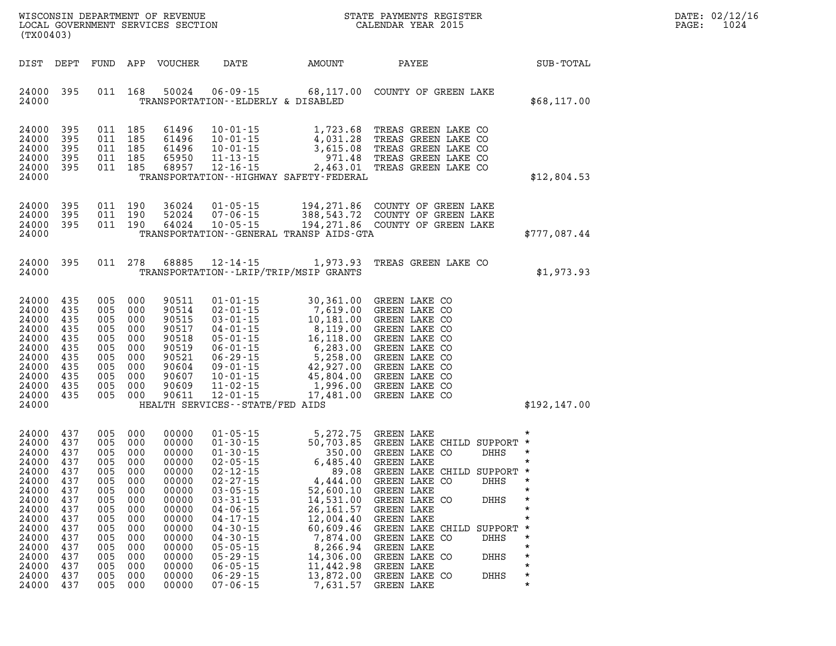| DATE: | 02/12/16 |
|-------|----------|
| PAGE: | 1024     |

| (TX00403)                                                                                                                           |                                                                                                       |                                                                                         |                                                                                                                | WISCONSIN DEPARTMENT OF REVENUE<br>LOCAL GOVERNMENT SERVICES SECTION                                                                |                                                                                                                                                                                  |                                                                                                                                                                                                                                                 | STATE PAYMENTS REGISTER<br>CALENDAR YEAR 2015                                                                                                                                                                                                                                                                                                                                                                                                                                                                  | DATE: 02/12/1<br>PAGE:<br>1024 |                               |  |
|-------------------------------------------------------------------------------------------------------------------------------------|-------------------------------------------------------------------------------------------------------|-----------------------------------------------------------------------------------------|----------------------------------------------------------------------------------------------------------------|-------------------------------------------------------------------------------------------------------------------------------------|----------------------------------------------------------------------------------------------------------------------------------------------------------------------------------|-------------------------------------------------------------------------------------------------------------------------------------------------------------------------------------------------------------------------------------------------|----------------------------------------------------------------------------------------------------------------------------------------------------------------------------------------------------------------------------------------------------------------------------------------------------------------------------------------------------------------------------------------------------------------------------------------------------------------------------------------------------------------|--------------------------------|-------------------------------|--|
|                                                                                                                                     | DIST DEPT                                                                                             |                                                                                         |                                                                                                                | FUND APP VOUCHER                                                                                                                    |                                                                                                                                                                                  | DATE AMOUNT                                                                                                                                                                                                                                     | PAYEE                                                                                                                                                                                                                                                                                                                                                                                                                                                                                                          |                                | SUB-TOTAL                     |  |
| 24000                                                                                                                               | 24000 395                                                                                             |                                                                                         | 011 168                                                                                                        |                                                                                                                                     |                                                                                                                                                                                  | TRANSPORTATION--ELDERLY & DISABLED                                                                                                                                                                                                              | 50024  06-09-15  68,117.00  COUNTY OF GREEN LAKE                                                                                                                                                                                                                                                                                                                                                                                                                                                               |                                | \$68,117.00                   |  |
| 24000<br>24000<br>24000<br>24000<br>24000                                                                                           | 395<br>395<br>395<br>395<br>24000 395                                                                 | 011 185                                                                                 | 011 185<br>011 185<br>011 185<br>011 185                                                                       | 61496<br>61496<br>61496<br>65950<br>68957                                                                                           |                                                                                                                                                                                  | TRANSPORTATION - - HIGHWAY SAFETY - FEDERAL                                                                                                                                                                                                     | 10-01-15 1,723.68 TREAS GREEN LAKE CO<br>10-01-15 4,031.28 TREAS GREEN LAKE CO<br>10-01-15 3,615.08 TREAS GREEN LAKE CO<br>11-13-15 971.48 TREAS GREEN LAKE CO<br>12-16-15 2,463.01 TREAS GREEN LAKE CO                                                                                                                                                                                                                                                                                                        |                                | \$12,804.53                   |  |
| 24000<br>24000<br>24000<br>24000                                                                                                    | 395<br>395<br>395                                                                                     |                                                                                         | 011 190<br>011 190<br>011 190                                                                                  | 36024<br>52024<br>64024                                                                                                             |                                                                                                                                                                                  | TRANSPORTATION - - GENERAL TRANSP AIDS - GTA                                                                                                                                                                                                    | 01-05-15 194,271.86 COUNTY OF GREEN LAKE<br>07-06-15 388,543.72 COUNTY OF GREEN LAKE<br>10-05-15 194,271.86 COUNTY OF GREEN LAKE                                                                                                                                                                                                                                                                                                                                                                               |                                | \$777,087.44                  |  |
| 24000                                                                                                                               | 24000 395                                                                                             |                                                                                         | 011 278                                                                                                        | 68885                                                                                                                               |                                                                                                                                                                                  | TRANSPORTATION - - LRIP/TRIP/MSIP GRANTS                                                                                                                                                                                                        | 12-14-15 1,973.93 TREAS GREEN LAKE CO                                                                                                                                                                                                                                                                                                                                                                                                                                                                          |                                | \$1,973.93                    |  |
| 24000 435<br>24000<br>24000<br>24000<br>24000<br>24000<br>24000<br>24000<br>24000<br>24000<br>24000 435<br>24000                    | 435<br>435<br>435<br>435<br>435<br>435<br>435<br>435<br>435                                           | 005<br>005<br>005<br>005<br>005<br>005<br>005<br>005                                    | 005 000<br>005 000<br>005 000<br>000<br>000<br>000<br>000<br>000<br>000<br>000<br>000                          | 90511<br>90514<br>90515<br>90517<br>90518<br>90519<br>90521<br>90604<br>90607<br>90609<br>90611                                     | $01 - 01 - 15$<br>HEALTH SERVICES--STATE/FED AIDS                                                                                                                                | 01-01-15 30,361.00 GREEN LAKE CO<br>02-01-15 7,619.00 GREEN LAKE CO<br>03-01-15 8,119.00 GREEN LAKE CO<br>04-01-15 8,119.00 GREEN LAKE CO<br>05-01-15 8,119.00 GREEN LAKE CO<br>06-01-15 6,283.00 GREEN LAKE CO<br>06-29-15 5,258.00 GREEN LAKE | 30,361.00 GREEN LAKE CO                                                                                                                                                                                                                                                                                                                                                                                                                                                                                        |                                | \$192, 147.00                 |  |
| 24000<br>24000<br>24000<br>24000<br>24000<br>24000<br>24000<br>24000<br>24000<br>24000<br>24000<br>24000<br>24000<br>24000<br>24000 | 437<br>437<br>437<br>437<br>437<br>437<br>437<br>437<br>437<br>437<br>437<br>437<br>437<br>437<br>437 | 005<br>005<br>005<br>005<br>005<br>005<br>005<br>005<br>005<br>005<br>005<br>005<br>005 | 005 000<br>005 000<br>000<br>000<br>-000<br>000<br>000<br>000<br>000<br>000<br>000<br>000<br>000<br>000<br>000 | 00000<br>00000<br>00000<br>00000<br>00000<br>00000<br>00000<br>00000<br>00000<br>00000<br>00000<br>00000<br>00000<br>00000<br>00000 | $02 - 27 - 15$<br>$03 - 05 - 15$<br>$03 - 31 - 15$<br>$04 - 06 - 15$<br>$04 - 17 - 15$<br>$04 - 30 - 15$<br>$04 - 30 - 15$<br>$05 - 05 - 15$<br>$05 - 29 - 15$<br>$06 - 05 - 15$ | 4,444.00<br>52,600.10<br>14,531.00<br>26, 161.57<br>12,004.40<br>60,609.46<br>7,874.00<br>8,266.94<br>14,306.00<br>11,442.98                                                                                                                    | $\begin{tabular}{lllllllllllll} 01-05-15 & 5,272.75 & \text{GREEN LAKE} & * \\ 01-30-15 & 50,703.85 & \text{GREEN LAKE CHILD SUPPORT} & * \\ 01-30-15 & 350.00 & \text{GREEN LAKE CO} & DHHS & * \\ 02-05-15 & 6,485.40 & \text{GREEN LAKE CHILD SUPPORT} & * \\ 02-27-15 & 4,444.00 & \text{GREEN LAKE CO} & DHHS & * \\ \end{tabular}$<br>GREEN LAKE CO<br>GREEN LAKE<br>GREEN LAKE CO<br>GREEN LAKE<br>GREEN LAKE<br>GREEN LAKE CHILD SUPPORT<br>GREEN LAKE CO<br>GREEN LAKE<br>GREEN LAKE CO<br>GREEN LAKE | DHHS<br>DHHS<br>DHHS<br>DHHS   | $\star$<br>$\star$<br>$\star$ |  |

**24000 437 005 000 00000 06-29-15 13,872.00 GREEN LAKE CO DHHS \* 24000 437 005 000 00000 07-06-15 7,631.57 GREEN LAKE \***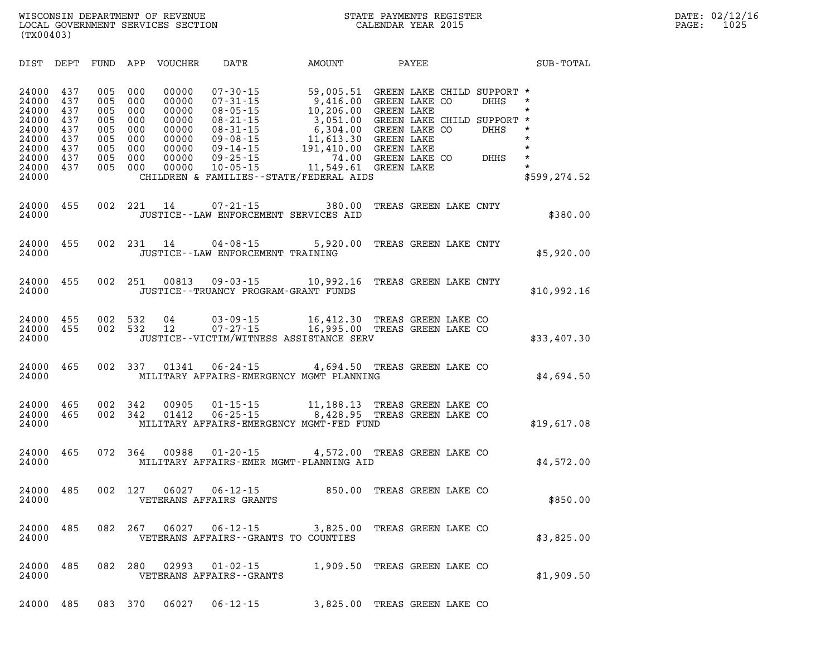| DIST                                                                                   | DEPT                                                        | FUND                                                        | APP                                                         | <b>VOUCHER</b>                                                                | DATE                                                                                                                                                           | AMOUNT                                                                                                                                                 |                                                                                  | PAYEE                                                                                                       |                      | SUB-TOTAL                                                               |
|----------------------------------------------------------------------------------------|-------------------------------------------------------------|-------------------------------------------------------------|-------------------------------------------------------------|-------------------------------------------------------------------------------|----------------------------------------------------------------------------------------------------------------------------------------------------------------|--------------------------------------------------------------------------------------------------------------------------------------------------------|----------------------------------------------------------------------------------|-------------------------------------------------------------------------------------------------------------|----------------------|-------------------------------------------------------------------------|
| 24000<br>24000<br>24000<br>24000<br>24000<br>24000<br>24000<br>24000<br>24000<br>24000 | 437<br>437<br>437<br>437<br>437<br>437<br>437<br>437<br>437 | 005<br>005<br>005<br>005<br>005<br>005<br>005<br>005<br>005 | 000<br>000<br>000<br>000<br>000<br>000<br>000<br>000<br>000 | 00000<br>00000<br>00000<br>00000<br>00000<br>00000<br>00000<br>00000<br>00000 | $07 - 30 - 15$<br>$07 - 31 - 15$<br>$08 - 05 - 15$<br>$08 - 21 - 15$<br>$08 - 31 - 15$<br>$09 - 08 - 15$<br>$09 - 14 - 15$<br>$09 - 25 - 15$<br>$10 - 05 - 15$ | 59,005.51<br>9,416.00<br>10,206.00<br>3,051.00<br>6,304.00<br>11,613.30<br>191,410.00<br>74.00<br>11,549.61<br>CHILDREN & FAMILIES--STATE/FEDERAL AIDS | <b>GREEN LAKE</b><br><b>GREEN LAKE</b><br><b>GREEN LAKE</b><br><b>GREEN LAKE</b> | GREEN LAKE CHILD SUPPORT *<br>GREEN LAKE CO<br>GREEN LAKE CHILD SUPPORT *<br>GREEN LAKE CO<br>GREEN LAKE CO | DHHS<br>DHHS<br>DHHS | $\star$<br>*<br>*<br>$\star$<br>$\star$<br>$\star$<br>*<br>\$599,274.52 |
| 24000<br>24000                                                                         | 455                                                         | 002                                                         | 221                                                         | 14                                                                            | $07 - 21 - 15$                                                                                                                                                 | 380.00<br>JUSTICE -- LAW ENFORCEMENT SERVICES AID                                                                                                      |                                                                                  | TREAS GREEN LAKE CNTY                                                                                       |                      | \$380.00                                                                |
| 24000<br>24000                                                                         | 455                                                         | 002                                                         | 231                                                         | 14                                                                            | $04 - 08 - 15$<br>JUSTICE--LAW ENFORCEMENT TRAINING                                                                                                            | 5,920.00                                                                                                                                               |                                                                                  | TREAS GREEN LAKE CNTY                                                                                       |                      | \$5,920.00                                                              |
| 24000<br>24000                                                                         | 455                                                         | 002                                                         | 251                                                         | 00813                                                                         | $09 - 03 - 15$<br>JUSTICE - - TRUANCY PROGRAM - GRANT FUNDS                                                                                                    | 10,992.16                                                                                                                                              |                                                                                  | TREAS GREEN LAKE CNTY                                                                                       |                      | \$10,992.16                                                             |
| 24000<br>24000<br>24000                                                                | 455<br>455                                                  | 002<br>002                                                  | 532<br>532                                                  | 04<br>12                                                                      | $03 - 09 - 15$<br>$07 - 27 - 15$                                                                                                                               | 16,412.30<br>16,995.00<br>JUSTICE--VICTIM/WITNESS ASSISTANCE SERV                                                                                      |                                                                                  | TREAS GREEN LAKE CO<br>TREAS GREEN LAKE CO                                                                  |                      | \$33,407.30                                                             |
| 24000<br>24000                                                                         | 465                                                         | 002                                                         | 337                                                         | 01341                                                                         | $06 - 24 - 15$                                                                                                                                                 | 4,694.50<br>MILITARY AFFAIRS-EMERGENCY MGMT PLANNING                                                                                                   |                                                                                  | TREAS GREEN LAKE CO                                                                                         |                      | \$4,694.50                                                              |
| 24000<br>24000<br>24000                                                                | 465<br>465                                                  | 002<br>002                                                  | 342<br>342                                                  | 00905<br>01412                                                                | $01 - 15 - 15$<br>$06 - 25 - 15$                                                                                                                               | 11,188.13<br>8,428.95<br>MILITARY AFFAIRS-EMERGENCY MGMT-FED FUND                                                                                      |                                                                                  | TREAS GREEN LAKE CO<br>TREAS GREEN LAKE CO                                                                  |                      | \$19,617.08                                                             |
| 24000<br>24000                                                                         | 465                                                         | 072                                                         | 364                                                         | 00988                                                                         | $01 - 20 - 15$                                                                                                                                                 | 4,572.00<br>MILITARY AFFAIRS-EMER MGMT-PLANNING AID                                                                                                    |                                                                                  | TREAS GREEN LAKE CO                                                                                         |                      | \$4,572.00                                                              |
| 24000<br>24000                                                                         | 485                                                         | 002                                                         | 127                                                         | 06027                                                                         | $06 - 12 - 15$<br>VETERANS AFFAIRS GRANTS                                                                                                                      | 850.00                                                                                                                                                 |                                                                                  | TREAS GREEN LAKE CO                                                                                         |                      | \$850.00                                                                |
| 24000<br>24000                                                                         | 485                                                         | 082                                                         | 267                                                         | 06027                                                                         | $06 - 12 - 15$<br>VETERANS AFFAIRS - - GRANTS TO COUNTIES                                                                                                      | 3,825.00                                                                                                                                               |                                                                                  | TREAS GREEN LAKE CO                                                                                         |                      | \$3,825.00                                                              |
| 24000<br>24000                                                                         | 485                                                         | 082                                                         | 280                                                         | 02993                                                                         | $01 - 02 - 15$<br>VETERANS AFFAIRS - - GRANTS                                                                                                                  | 1,909.50                                                                                                                                               |                                                                                  | TREAS GREEN LAKE CO                                                                                         |                      | \$1,909.50                                                              |
| 24000                                                                                  | 485                                                         | 083                                                         | 370                                                         | 06027                                                                         | $06 - 12 - 15$                                                                                                                                                 | 3,825.00                                                                                                                                               |                                                                                  | TREAS GREEN LAKE CO                                                                                         |                      |                                                                         |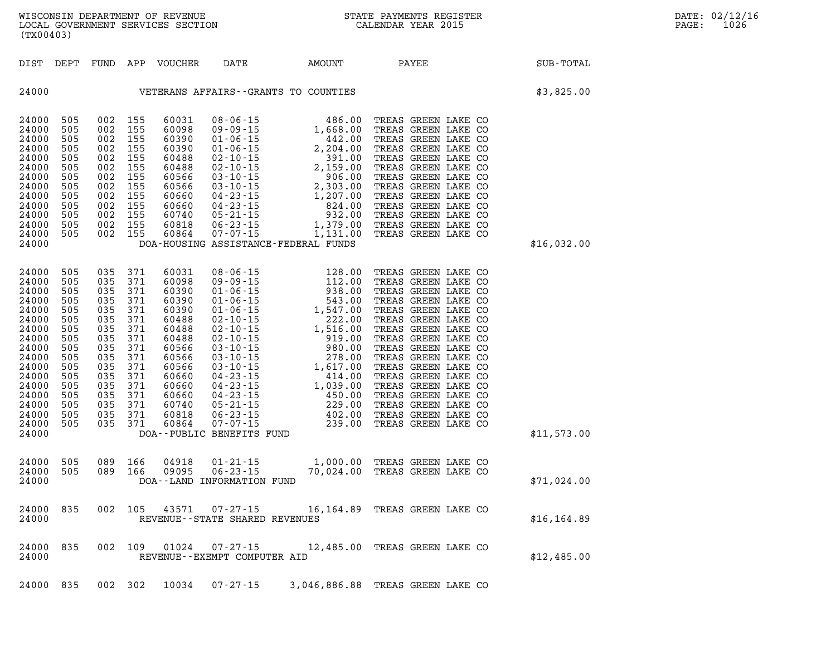| (TX00403)                                                                                                                                                              |                                                                                                       |                                                                                                                                  |                                                     |                                                                                                                                                       |                                      | WISCONSIN DEPARTMENT OF REVENUE<br>LOCAL GOVERNMENT SERVICES SECTION THE STATE PAYMENTS REGIST<br>(TYAOAA2)<br>STATE PAYMENTS REGISTER | $R = \frac{1}{2}$ | DATE: 02/12/16<br>$\mathtt{PAGE}$ :<br>1026 |  |
|------------------------------------------------------------------------------------------------------------------------------------------------------------------------|-------------------------------------------------------------------------------------------------------|----------------------------------------------------------------------------------------------------------------------------------|-----------------------------------------------------|-------------------------------------------------------------------------------------------------------------------------------------------------------|--------------------------------------|----------------------------------------------------------------------------------------------------------------------------------------|-------------------|---------------------------------------------|--|
|                                                                                                                                                                        |                                                                                                       |                                                                                                                                  |                                                     |                                                                                                                                                       |                                      | DIST DEPT FUND APP VOUCHER DATE AMOUNT PAYEE                                                                                           |                   | SUB-TOTAL                                   |  |
|                                                                                                                                                                        |                                                                                                       |                                                                                                                                  |                                                     |                                                                                                                                                       |                                      | 24000 VETERANS AFFAIRS--GRANTS TO COUNTIES                                                                                             |                   | \$3,825.00                                  |  |
| 24000 505<br>24000<br>24000<br>24000<br>24000<br>24000<br>24000<br>24000<br>24000<br>24000<br>24000<br>24000<br>24000 505<br>24000                                     | 505<br>505<br>505<br>505<br>505<br>505<br>505<br>505<br>505<br>505<br>505                             | 002 155<br>002 155<br>002 155<br>002 155<br>002 155<br>002 155<br>002 155<br>002 155<br>002 155<br>002 155<br>002 155            | 002 155<br>002 155                                  | 60031<br>60098<br>60390<br>60390<br>60488<br>60488<br>60566<br>60566<br>60660<br>60660<br>60740<br>60818<br>60864                                     | DOA-HOUSING ASSISTANCE-FEDERAL FUNDS |                                                                                                                                        |                   | \$16,032.00                                 |  |
| 24000 505<br>24000<br>24000<br>24000<br>24000<br>24000<br>24000<br>24000<br>24000<br>24000<br>24000<br>24000<br>24000<br>24000<br>24000<br>24000<br>24000 505<br>24000 | 505<br>505<br>505<br>505<br>505<br>505<br>505<br>505<br>505<br>505<br>505<br>505<br>505<br>505<br>505 | 035 371<br>035 371<br>035 371<br>035 371<br>035 371<br>035 371<br>035 371<br>035 371<br>035 371<br>035 371<br>035 371<br>035 371 | 035 371<br>035 371<br>035 371<br>035 371<br>035 371 | 60031<br>60098<br>60390<br>60390<br>60390<br>60488<br>60488<br>60488<br>60566<br>60566<br>60566<br>60660<br>60660<br>60660<br>60740<br>60818<br>60864 | DOA--PUBLIC BENEFITS FUND            |                                                                                                                                        |                   | \$11,573.00                                 |  |
| 24000 505<br>24000 505<br>24000                                                                                                                                        |                                                                                                       | 089 166                                                                                                                          | 089 166                                             | 04918<br>09095                                                                                                                                        | DOA--LAND INFORMATION FUND           | 01-21-15 1,000.00 TREAS GREEN LAKE CO<br>06-23-15 70,024.00 TREAS GREEN LAKE CO                                                        |                   | \$71,024.00                                 |  |
| 24000                                                                                                                                                                  | 24000 835                                                                                             |                                                                                                                                  |                                                     |                                                                                                                                                       | REVENUE--STATE SHARED REVENUES       | 002 105 43571 07-27-15 16,164.89 TREAS GREEN LAKE CO                                                                                   |                   | \$16, 164.89                                |  |
| 24000                                                                                                                                                                  | 24000 835                                                                                             |                                                                                                                                  |                                                     |                                                                                                                                                       | REVENUE--EXEMPT COMPUTER AID         | 002 109 01024 07-27-15 12,485.00 TREAS GREEN LAKE CO                                                                                   |                   | \$12,485.00                                 |  |
|                                                                                                                                                                        |                                                                                                       |                                                                                                                                  |                                                     |                                                                                                                                                       |                                      | 24000 835 002 302 10034 07-27-15 3,046,886.88 TREAS GREEN LAKE CO                                                                      |                   |                                             |  |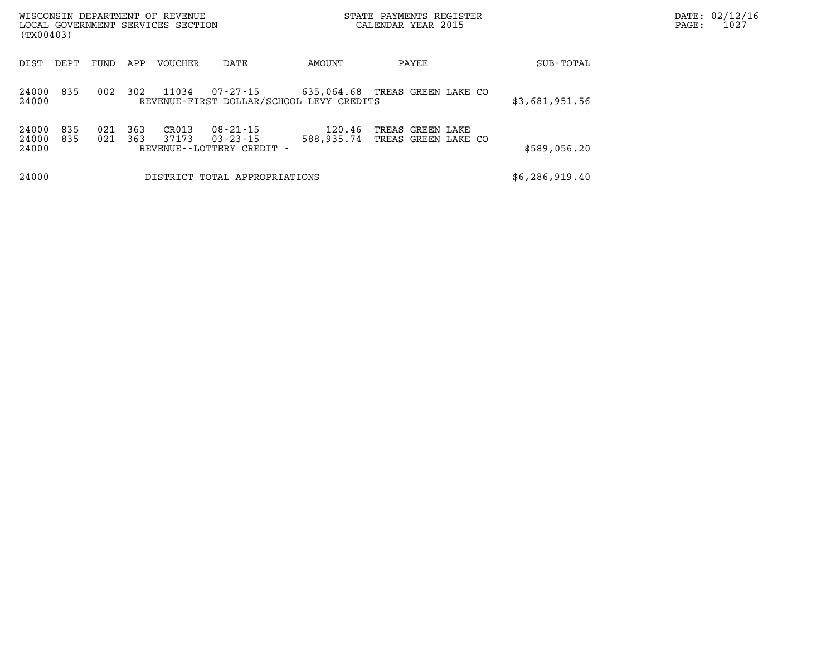| (TX00403)               |            |            |            | WISCONSIN DEPARTMENT OF REVENUE<br>LOCAL GOVERNMENT SERVICES SECTION |                                                                  |                                          | STATE PAYMENTS REGISTER<br>CALENDAR YEAR 2015 | DATE: 02/12/16<br>1027<br>PAGE: |  |
|-------------------------|------------|------------|------------|----------------------------------------------------------------------|------------------------------------------------------------------|------------------------------------------|-----------------------------------------------|---------------------------------|--|
| DIST                    | DEPT       | FUND       | APP        | VOUCHER                                                              | DATE                                                             | AMOUNT                                   | PAYEE                                         | SUB-TOTAL                       |  |
| 24000<br>24000          | 835        | 002        | 302        | 11034                                                                | 07-27-15                                                         | REVENUE-FIRST DOLLAR/SCHOOL LEVY CREDITS | 635,064.68 TREAS GREEN LAKE CO                | \$3,681,951.56                  |  |
| 24000<br>24000<br>24000 | 835<br>835 | 021<br>021 | 363<br>363 | CR013<br>37173                                                       | $08 - 21 - 15$<br>$03 - 23 - 15$<br>REVENUE - - LOTTERY CREDIT - | 120.46<br>588,935.74                     | TREAS GREEN LAKE<br>TREAS GREEN LAKE CO       | \$589,056.20                    |  |
| 24000                   |            |            |            |                                                                      | DISTRICT TOTAL APPROPRIATIONS                                    |                                          |                                               | \$6,286,919.40                  |  |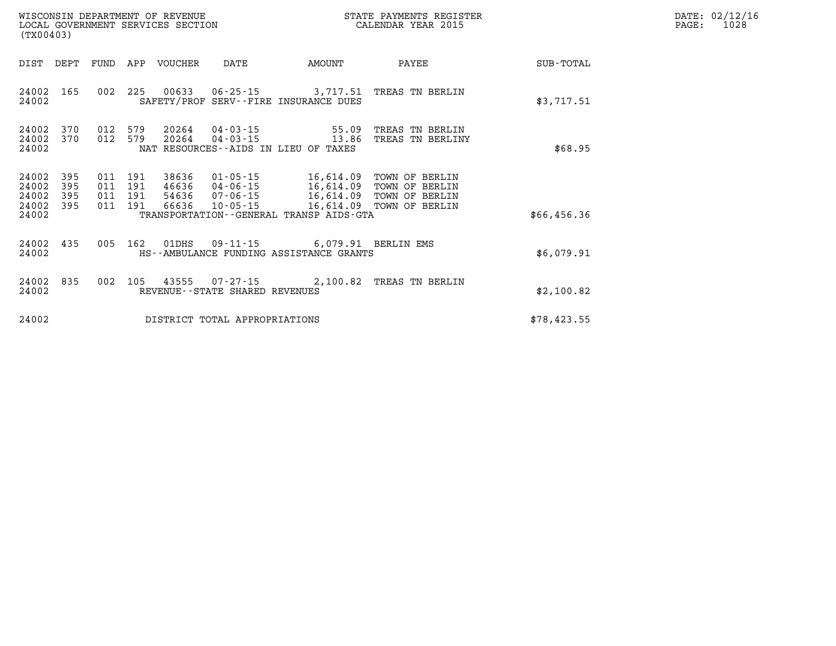| WISCONSIN DEPARTMENT OF REVENUE<br>LOCAL GOVERNMENT SERVICES SECTION<br>(TX00403) |                          |                          |                                  |                                                                | STATE PAYMENTS REGISTER<br>CALENDAR YEAR 2015                                               |                                                                      | PAGE:       | DATE: 02/12/16<br>1028 |  |
|-----------------------------------------------------------------------------------|--------------------------|--------------------------|----------------------------------|----------------------------------------------------------------|---------------------------------------------------------------------------------------------|----------------------------------------------------------------------|-------------|------------------------|--|
| DIST<br>DEPT                                                                      | FUND                     |                          | APP VOUCHER                      | DATE                                                           | AMOUNT                                                                                      | PAYEE                                                                | SUB-TOTAL   |                        |  |
| 24002<br>165<br>24002                                                             |                          |                          |                                  |                                                                | SAFETY/PROF SERV--FIRE INSURANCE DUES                                                       | 002 225 00633 06-25-15 3,717.51 TREAS TN BERLIN                      | \$3,717.51  |                        |  |
| 24002<br>370<br>24002<br>370<br>24002                                             | 012<br>012               | 579<br>579               | 20264<br>20264                   | $04 - 03 - 15$<br>04-03-15                                     | 55.09<br>13.86<br>NAT RESOURCES--AIDS IN LIEU OF TAXES                                      | TREAS TN BERLIN<br>TREAS TN BERLINY                                  | \$68.95     |                        |  |
| 24002<br>395<br>24002<br>395<br>24002<br>395<br>24002<br>395<br>24002             | 011<br>011<br>011<br>011 | 191<br>191<br>191<br>191 | 38636<br>46636<br>54636<br>66636 | $01 - 05 - 15$<br>04-06-15<br>$07 - 06 - 15$<br>$10 - 05 - 15$ | 16,614.09<br>16,614.09<br>16,614.09<br>16,614.09<br>TRANSPORTATION--GENERAL TRANSP AIDS-GTA | TOWN OF BERLIN<br>TOWN OF BERLIN<br>TOWN OF BERLIN<br>TOWN OF BERLIN | \$66,456.36 |                        |  |
| 24002<br>435<br>24002                                                             | 005                      | 162                      | 01DHS                            |                                                                | 09-11-15 6,079.91 BERLIN EMS<br>HS--AMBULANCE FUNDING ASSISTANCE GRANTS                     |                                                                      | \$6,079.91  |                        |  |
| 835<br>24002<br>24002                                                             |                          |                          |                                  | REVENUE--STATE SHARED REVENUES                                 |                                                                                             | 002 105 43555 07-27-15 2,100.82 TREAS TN BERLIN                      | \$2,100.82  |                        |  |
| 24002                                                                             |                          |                          |                                  | DISTRICT TOTAL APPROPRIATIONS                                  |                                                                                             |                                                                      | \$78,423.55 |                        |  |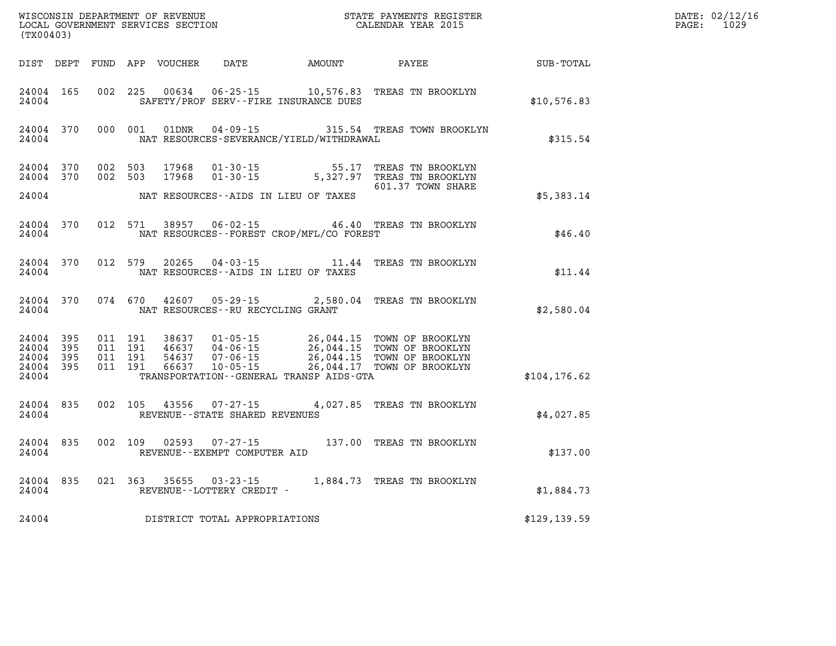| (TX00403)                                        |           |                                          |         | WISCONSIN DEPARTMENT OF REVENUE<br>LOCAL GOVERNMENT SERVICES SECTION |                                                             |                                          | STATE PAYMENTS REGISTER<br>CALENDAR YEAR 2015                                                                                                                                                                  |               | DATE: 02/12/16<br>$\mathtt{PAGE:}$<br>1029 |
|--------------------------------------------------|-----------|------------------------------------------|---------|----------------------------------------------------------------------|-------------------------------------------------------------|------------------------------------------|----------------------------------------------------------------------------------------------------------------------------------------------------------------------------------------------------------------|---------------|--------------------------------------------|
|                                                  |           |                                          |         |                                                                      | DIST DEPT FUND APP VOUCHER DATE AMOUNT                      |                                          | PAYEE                                                                                                                                                                                                          | SUB-TOTAL     |                                            |
| 24004 165<br>24004                               |           | 002 225                                  |         | 00634                                                                | SAFETY/PROF SERV--FIRE INSURANCE DUES                       |                                          | 06-25-15 10,576.83 TREAS TN BROOKLYN                                                                                                                                                                           | \$10,576.83   |                                            |
| 24004                                            | 24004 370 |                                          | 000 001 | 01DNR                                                                |                                                             | NAT RESOURCES-SEVERANCE/YIELD/WITHDRAWAL |                                                                                                                                                                                                                | \$315.54      |                                            |
| 24004 370<br>24004 370                           |           | 002 503<br>002 503                       |         | 17968<br>17968                                                       | $01 - 30 - 15$                                              | $01 - 30 - 15$ 55.17                     | TREAS TN BROOKLYN<br>5,327.97 TREAS TN BROOKLYN<br>601.37 TOWN SHARE                                                                                                                                           |               |                                            |
| 24004                                            |           |                                          |         |                                                                      | NAT RESOURCES--AIDS IN LIEU OF TAXES                        |                                          |                                                                                                                                                                                                                | \$5,383.14    |                                            |
| 24004                                            | 24004 370 |                                          | 012 571 |                                                                      |                                                             | NAT RESOURCES--FOREST CROP/MFL/CO FOREST | 38957  06-02-15  46.40  TREAS TN BROOKLYN                                                                                                                                                                      | \$46.40       |                                            |
| 24004                                            | 24004 370 |                                          | 012 579 |                                                                      | NAT RESOURCES -- AIDS IN LIEU OF TAXES                      |                                          | 20265  04-03-15  11.44  TREAS TN BROOKLYN                                                                                                                                                                      | \$11.44       |                                            |
| 24004 370<br>24004                               |           |                                          |         | 074 670 42607                                                        | NAT RESOURCES - - RU RECYCLING GRANT                        |                                          | 05-29-15 2,580.04 TREAS TN BROOKLYN                                                                                                                                                                            | \$2,580.04    |                                            |
| 24004 395<br>24004 395<br>24004 395<br>24004 395 |           | 011 191<br>011 191<br>011 191<br>011 191 |         |                                                                      |                                                             |                                          | 38637 01-05-15 26,044.15 TOWN OF BROOKLYN<br>46637 04-06-15 26,044.15 TOWN OF BROOKLYN<br>54637 07-06-15 26,044.15 TOWN OF BROOKLYN<br>66637 10-05-15 26,044.17 TOWN OF BROOKLYN<br>26,044.17 TOWN OF BROOKLYN |               |                                            |
| 24004                                            |           |                                          |         |                                                                      |                                                             | TRANSPORTATION--GENERAL TRANSP AIDS-GTA  |                                                                                                                                                                                                                | \$104, 176.62 |                                            |
| 24004                                            | 24004 835 |                                          |         |                                                                      | 002 105 43556 07-27-15<br>REVENUE - - STATE SHARED REVENUES |                                          | 4,027.85 TREAS TN BROOKLYN                                                                                                                                                                                     | \$4,027.85    |                                            |
| 24004                                            | 24004 835 |                                          | 002 109 |                                                                      | $02593$ $07 - 27 - 15$<br>REVENUE--EXEMPT COMPUTER AID      |                                          | 137.00 TREAS TN BROOKLYN                                                                                                                                                                                       | \$137.00      |                                            |
| 24004                                            | 24004 835 |                                          |         | 021 363 35655                                                        | $03 - 23 - 15$<br>REVENUE--LOTTERY CREDIT -                 |                                          | 1,884.73 TREAS TN BROOKLYN                                                                                                                                                                                     | \$1,884.73    |                                            |
| 24004                                            |           |                                          |         |                                                                      | DISTRICT TOTAL APPROPRIATIONS                               |                                          |                                                                                                                                                                                                                | \$129, 139.59 |                                            |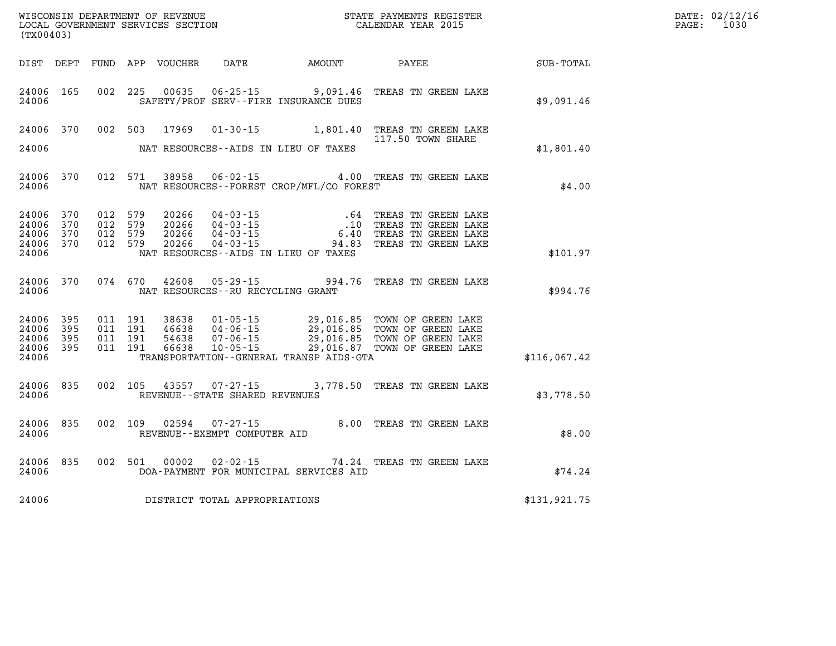| DATE: | 02/12/16 |
|-------|----------|
| PAGE: | 1030     |

| (TX00403)                                                 |                    |         |               |                                     |                                              |                                                                                                                                                                                                                                                                                                                                                            | $\mathbb{R}^n$                                         | DATE: 02/12/1<br>PAGE:<br>1030 |
|-----------------------------------------------------------|--------------------|---------|---------------|-------------------------------------|----------------------------------------------|------------------------------------------------------------------------------------------------------------------------------------------------------------------------------------------------------------------------------------------------------------------------------------------------------------------------------------------------------------|--------------------------------------------------------|--------------------------------|
|                                                           |                    |         |               |                                     |                                              |                                                                                                                                                                                                                                                                                                                                                            | DIST DEPT FUND APP VOUCHER DATE AMOUNT PAYEE SUB-TOTAL |                                |
| 24006 165<br>24006                                        |                    |         |               |                                     | SAFETY/PROF SERV--FIRE INSURANCE DUES        | 002 225 00635 06-25-15 9,091.46 TREAS TN GREEN LAKE                                                                                                                                                                                                                                                                                                        | \$9,091.46                                             |                                |
|                                                           | 24006 370          |         |               |                                     | 24006 MAT RESOURCES--AIDS IN LIEU OF TAXES   | 002 503 17969 01-30-15 1,801.40 TREAS TN GREEN LAKE<br>117.50 TOWN SHARE                                                                                                                                                                                                                                                                                   | \$1,801.40                                             |                                |
|                                                           |                    |         |               |                                     |                                              |                                                                                                                                                                                                                                                                                                                                                            |                                                        |                                |
| 24006                                                     | 24006 370          | 012 571 |               |                                     | NAT RESOURCES--FOREST CROP/MFL/CO FOREST     | 38958  06-02-15  4.00 TREAS TN GREEN LAKE                                                                                                                                                                                                                                                                                                                  | \$4.00                                                 |                                |
| 24006 370<br>24006 370<br>24006 370<br>24006 370<br>24006 |                    |         |               |                                     | NAT RESOURCES--AIDS IN LIEU OF TAXES         | $\begin{array}{cccc} 012 & 579 & 20266 & 04\cdot 03\cdot 15 & .64 & \text{TREAS TN GREEN LAKE} \\ 012 & 579 & 20266 & 04\cdot 03\cdot 15 & .10 & \text{TREAS TN GREEN LAKE} \\ 012 & 579 & 20266 & 04\cdot 03\cdot 15 & .40 & \text{TREAS TN GREEN LAKE} \\ 012 & 579 & 20266 & 04\cdot 03\cdot 15 & .94\cdot 83 & \text{TREAS TN GREEN LAKE} \end{array}$ | \$101.97                                               |                                |
|                                                           | 24006 370<br>24006 |         |               | NAT RESOURCES -- RU RECYCLING GRANT |                                              | 074 670 42608 05-29-15 994.76 TREAS TN GREEN LAKE                                                                                                                                                                                                                                                                                                          | \$994.76                                               |                                |
| 24006<br>24006 395<br>24006 395<br>24006 395<br>24006     | 395                |         |               |                                     | TRANSPORTATION - - GENERAL TRANSP AIDS - GTA | $\begin{array}{cccc} 011 & 191 & 38638 & 01\cdot 05\cdot 15 & 29,016.85 & \text{TOWN OF GREEN LAKE} \\ 011 & 191 & 46638 & 04\cdot 06\cdot 15 & 29,016.85 & \text{TOWN OF GREEN LAKE} \\ 011 & 191 & 54638 & 07\cdot 06\cdot 15 & 29,016.85 & \text{TOWN OF GREEN LAKE} \\ 011 & 191 & 66638 & 10\cdot 05\cdot 15 & 29,016.87 & \text{TOWN OF GREEN$       | \$116,067.42                                           |                                |
| 24006 835<br>24006                                        |                    |         |               | REVENUE--STATE SHARED REVENUES      |                                              | 002 105 43557 07-27-15 3,778.50 TREAS TN GREEN LAKE                                                                                                                                                                                                                                                                                                        | \$3,778.50                                             |                                |
| 24006 835<br>24006                                        |                    |         |               | REVENUE--EXEMPT COMPUTER AID        |                                              | 002 109 02594 07-27-15 8.00 TREAS TN GREEN LAKE                                                                                                                                                                                                                                                                                                            | \$8.00                                                 |                                |
| 24006                                                     | 24006 835          |         | 002 501 00002 |                                     | DOA-PAYMENT FOR MUNICIPAL SERVICES AID       | 02-02-15 74.24 TREAS TN GREEN LAKE                                                                                                                                                                                                                                                                                                                         | \$74.24                                                |                                |
| 24006                                                     |                    |         |               | DISTRICT TOTAL APPROPRIATIONS       |                                              |                                                                                                                                                                                                                                                                                                                                                            | \$131,921.75                                           |                                |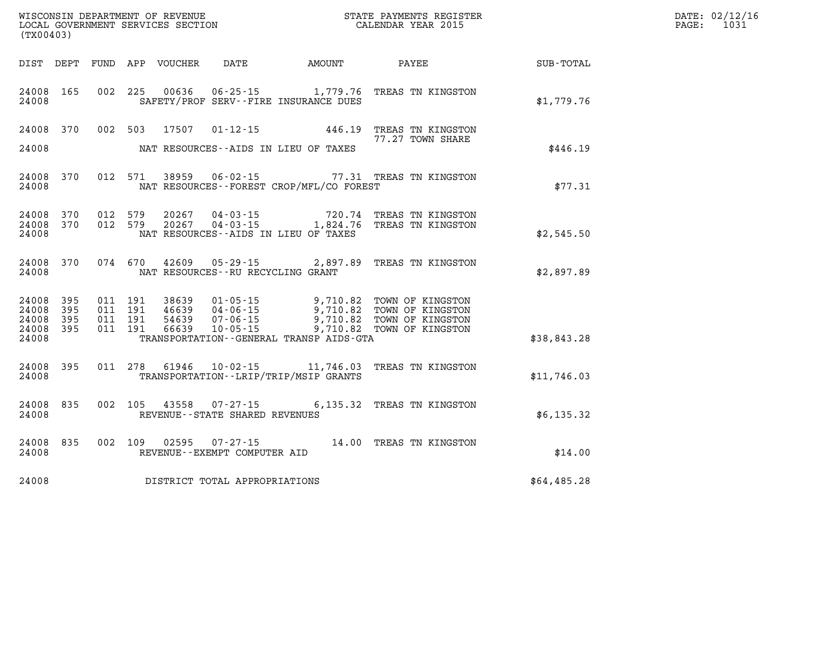| WISCONSIN DEPARTMENT OF REVENUE   | PAYMENTS REGISTER<br>STATE |      | DATE: 02/12/16 |
|-----------------------------------|----------------------------|------|----------------|
| LOCAL GOVERNMENT SERVICES SECTION | CALENDAR YEAR 2015         | PAGE |                |

| (TX00403)                                 |                          |                          |                          |                                  |                                                                      |                                                                                         |                                                                              |             |
|-------------------------------------------|--------------------------|--------------------------|--------------------------|----------------------------------|----------------------------------------------------------------------|-----------------------------------------------------------------------------------------|------------------------------------------------------------------------------|-------------|
| DIST                                      | DEPT                     | FUND                     | APP                      | VOUCHER DATE                     |                                                                      | AMOUNT                                                                                  | <b>PAYEE</b>                                                                 | SUB-TOTAL   |
| 24008<br>24008                            | 165                      | 002                      | 225                      | 00636                            |                                                                      | $06 - 25 - 15$ 1, 779.76<br>SAFETY/PROF SERV--FIRE INSURANCE DUES                       | TREAS TN KINGSTON                                                            | \$1,779.76  |
| 24008<br>24008                            | 370                      | 002                      | 503                      | 17507                            | $01 - 12 - 15$                                                       | NAT RESOURCES -- AIDS IN LIEU OF TAXES                                                  | 446.19 TREAS TN KINGSTON<br>77.27 TOWN SHARE                                 | \$446.19    |
| 24008<br>24008                            | 370                      | 012                      | 571                      | 38959                            | $06 - 02 - 15$                                                       | NAT RESOURCES - - FOREST CROP/MFL/CO FOREST                                             | 77.31 TREAS TN KINGSTON                                                      | \$77.31     |
| 24008<br>24008<br>24008                   | 370<br>370               | 012<br>012               | 579<br>579               | 20267<br>20267                   | $04 - 03 - 15$                                                       | 04 - 03 - 15 720.74<br>04 - 03 - 15 1,824.76<br>NAT RESOURCES -- AIDS IN LIEU OF TAXES  | 720.74 TREAS TN KINGSTON<br>TREAS TN KINGSTON                                | \$2,545.50  |
| 24008<br>24008                            | 370                      | 074                      | 670                      | 42609                            | $05 - 29 - 15$<br>NAT RESOURCES -- RU RECYCLING GRANT                | 2,897.89                                                                                | TREAS TN KINGSTON                                                            | \$2,897.89  |
| 24008<br>24008<br>24008<br>24008<br>24008 | 395<br>395<br>395<br>395 | 011<br>011<br>011<br>011 | 191<br>191<br>191<br>191 | 38639<br>46639<br>54639<br>66639 | $01 - 05 - 15$<br>$04 - 06 - 15$<br>$07 - 06 - 15$<br>$10 - 05 - 15$ | 9,710.82<br>9,710.82<br>9,710.82<br>9,710.82<br>TRANSPORTATION--GENERAL TRANSP AIDS-GTA | TOWN OF KINGSTON<br>TOWN OF KINGSTON<br>TOWN OF KINGSTON<br>TOWN OF KINGSTON | \$38,843.28 |
| 24008<br>24008                            | 395                      | 011                      | 278                      | 61946                            |                                                                      | 10-02-15 11,746.03<br>TRANSPORTATION - - LRIP/TRIP/MSIP GRANTS                          | TREAS TN KINGSTON                                                            | \$11,746.03 |
| 24008<br>24008                            | 835                      | 002                      | 105                      | 43558                            | REVENUE - - STATE SHARED REVENUES                                    |                                                                                         | 07-27-15 6,135.32 TREAS TN KINGSTON                                          | \$6,135.32  |
| 24008<br>24008                            | 835                      | 002                      | 109                      | 02595                            | $07 - 27 - 15$<br>REVENUE--EXEMPT COMPUTER AID                       |                                                                                         | 14.00 TREAS TN KINGSTON                                                      | \$14.00     |
| 24008                                     |                          |                          |                          |                                  | DISTRICT TOTAL APPROPRIATIONS                                        |                                                                                         |                                                                              | \$64,485.28 |

WISCONSIN DEPARTMENT OF REVENUE **STATE PAYMENTS REGISTER** LOCAL GOVERNMENT SERVICES SECTION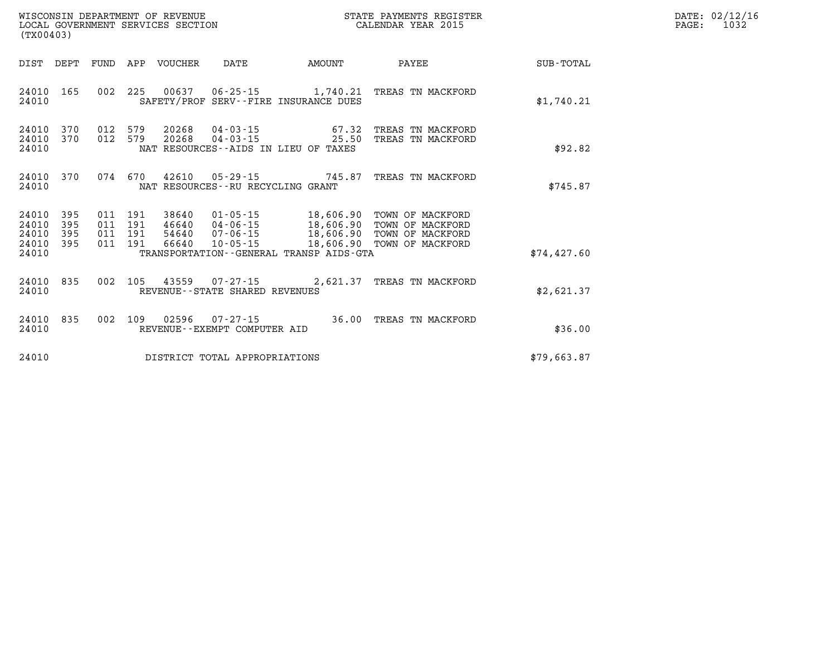| WISCONSIN DEPARTMENT OF REVENUE<br>LOCAL GOVERNMENT SERVICES SECTION<br>(TX00403) |  |                    |                    |                                  |                                                             |                                                                       | STATE PAYMENTS REGISTER<br>CALENDAR YEAR 2015                                                                                 |             | DATE: 02/12/16<br>PAGE:<br>1032 |
|-----------------------------------------------------------------------------------|--|--------------------|--------------------|----------------------------------|-------------------------------------------------------------|-----------------------------------------------------------------------|-------------------------------------------------------------------------------------------------------------------------------|-------------|---------------------------------|
| DIST DEPT                                                                         |  |                    |                    | FUND APP VOUCHER                 | DATE                                                        | AMOUNT                                                                | PAYEE                                                                                                                         | SUB-TOTAL   |                                 |
| 24010 165<br>24010                                                                |  |                    |                    |                                  |                                                             | SAFETY/PROF SERV--FIRE INSURANCE DUES                                 | 002 225 00637 06-25-15 1,740.21 TREAS TN MACKFORD                                                                             | \$1,740.21  |                                 |
| 24010 370<br>24010 370<br>24010                                                   |  | 012 579<br>012 579 |                    |                                  | 20268 04-03-15                                              | 20268 04-03-15 67.32<br>25.50<br>NAT RESOURCES--AIDS IN LIEU OF TAXES | TREAS TN MACKFORD<br>TREAS TN MACKFORD                                                                                        | \$92.82     |                                 |
| 24010 370<br>24010                                                                |  |                    |                    |                                  | NAT RESOURCES--RU RECYCLING GRANT                           |                                                                       | 074  670  42610  05-29-15  745.87  TREAS TN MACKFORD                                                                          | \$745.87    |                                 |
| 24010 395<br>24010 395<br>24010 395<br>24010 395<br>24010                         |  | 011 191<br>011 191 | 011 191<br>011 191 | 38640<br>46640<br>54640<br>66640 | 04-06-15<br>07-06-15<br>10-05-15                            | TRANSPORTATION--GENERAL TRANSP AIDS-GTA                               | 01-05-15 18,606.90 TOWN OF MACKFORD<br>18,606.90 TOWN OF MACKFORD<br>18,606.90 TOWN OF MACKFORD<br>18,606.90 TOWN OF MACKFORD | \$74,427.60 |                                 |
| 24010 835<br>24010                                                                |  |                    |                    |                                  | 002 105 43559 07-27-15<br>REVENUE - - STATE SHARED REVENUES |                                                                       | 2,621.37 TREAS TN MACKFORD                                                                                                    | \$2,621.37  |                                 |
| 24010 835<br>24010                                                                |  |                    |                    |                                  | 002 109 02596 07-27-15<br>REVENUE--EXEMPT COMPUTER AID      |                                                                       | 36.00 TREAS TN MACKFORD                                                                                                       | \$36.00     |                                 |
| 24010                                                                             |  |                    |                    |                                  | DISTRICT TOTAL APPROPRIATIONS                               |                                                                       |                                                                                                                               | \$79,663.87 |                                 |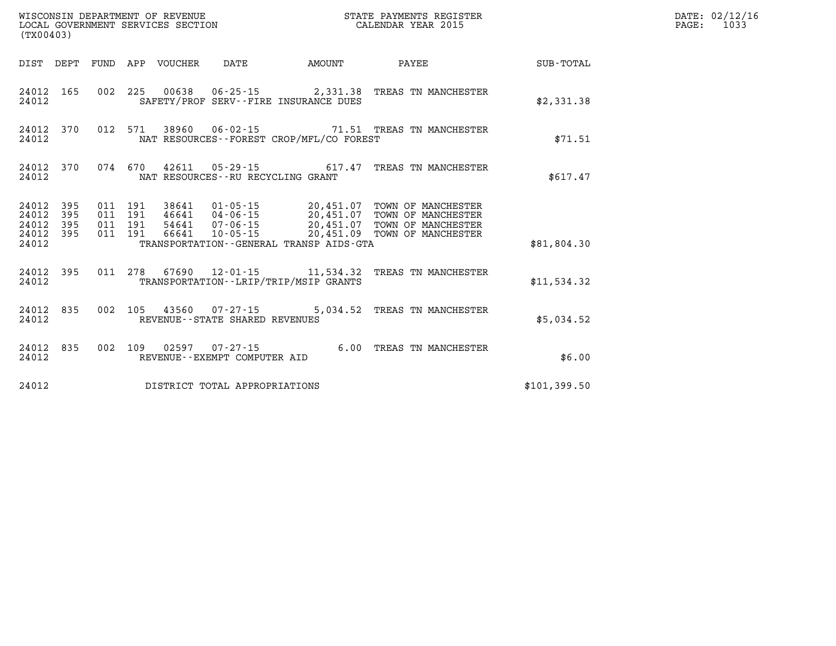| WISCONSIN DEPARTMENT OF REVENUE<br>LOCAL GOVERNMENT SERVICES SECTION<br>(TX00403) |  |  |  |                                 |                                                             |                                             | STATE PAYMENTS REGISTER<br>CALENDAR YEAR 2015                  |              | DATE: 02/12/16<br>PAGE: 1033 |
|-----------------------------------------------------------------------------------|--|--|--|---------------------------------|-------------------------------------------------------------|---------------------------------------------|----------------------------------------------------------------|--------------|------------------------------|
|                                                                                   |  |  |  | DIST DEPT FUND APP VOUCHER DATE |                                                             | AMOUNT                                      | PAYEE                                                          | SUB-TOTAL    |                              |
| 24012                                                                             |  |  |  |                                 |                                                             | SAFETY/PROF SERV--FIRE INSURANCE DUES       | 24012 165 002 225 00638 06-25-15 2,331.38 TREAS TN MANCHESTER  | \$2,331.38   |                              |
| 24012                                                                             |  |  |  |                                 |                                                             | NAT RESOURCES - - FOREST CROP/MFL/CO FOREST | 24012 370 012 571 38960 06-02-15 71.51 TREAS TN MANCHESTER     | \$71.51      |                              |
| 24012 370<br>24012                                                                |  |  |  |                                 |                                                             | NAT RESOURCES - - RU RECYCLING GRANT        | 074 670 42611 05-29-15 617.47 TREAS TN MANCHESTER              | \$617.47     |                              |
| 24012 395<br>24012 395<br>24012 395<br>24012 395<br>24012                         |  |  |  |                                 |                                                             | TRANSPORTATION--GENERAL TRANSP AIDS-GTA     |                                                                | \$81,804.30  |                              |
| 24012                                                                             |  |  |  |                                 |                                                             | TRANSPORTATION--LRIP/TRIP/MSIP GRANTS       | 24012 395 011 278 67690 12-01-15 11,534.32 TREAS TN MANCHESTER | \$11,534.32  |                              |
| 24012 835<br>24012                                                                |  |  |  |                                 | 002 105 43560 07-27-15<br>REVENUE - - STATE SHARED REVENUES |                                             | 5,034.52 TREAS TN MANCHESTER                                   | \$5.034.52   |                              |
| 24012 835<br>24012                                                                |  |  |  |                                 | REVENUE--EXEMPT COMPUTER AID                                |                                             | 002 109 02597 07-27-15 6.00 TREAS TN MANCHESTER                | \$6.00       |                              |
| 24012                                                                             |  |  |  |                                 | DISTRICT TOTAL APPROPRIATIONS                               |                                             |                                                                | \$101,399.50 |                              |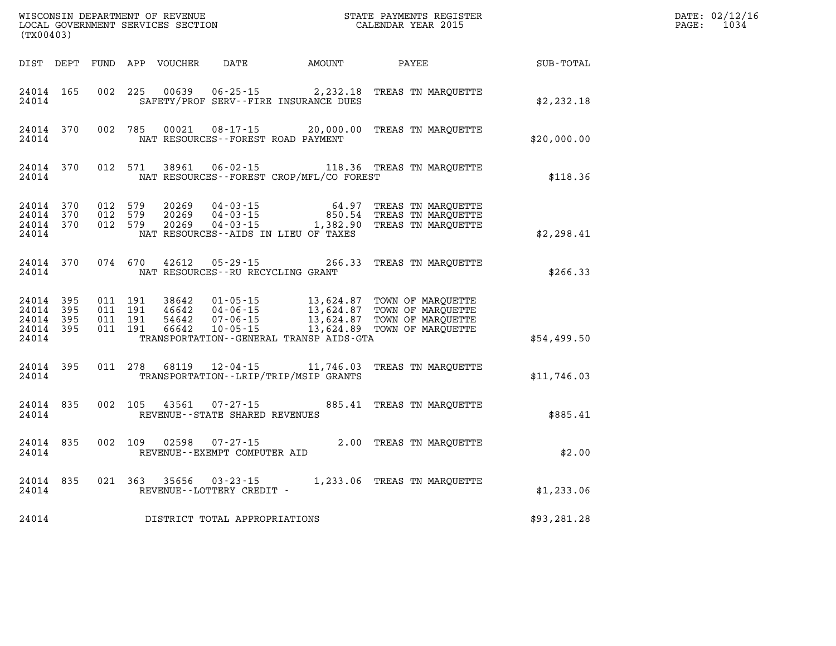| (TX00403)                                     |                     |                               |                               | WISCONSIN DEPARTMENT OF REVENUE<br>LOCAL GOVERNMENT SERVICES SECTION |                                                        |                                              | STATE PAYMENTS REGISTER<br>CALENDAR YEAR 2015                                                                                                                                                        |             | DATE: 02/12/16<br>$\mathtt{PAGE}$ :<br>1034 |
|-----------------------------------------------|---------------------|-------------------------------|-------------------------------|----------------------------------------------------------------------|--------------------------------------------------------|----------------------------------------------|------------------------------------------------------------------------------------------------------------------------------------------------------------------------------------------------------|-------------|---------------------------------------------|
|                                               |                     |                               |                               | DIST DEPT FUND APP VOUCHER                                           | DATE                                                   | <b>AMOUNT</b>                                | PAYEE                                                                                                                                                                                                | SUB-TOTAL   |                                             |
| 24014 165<br>24014                            |                     |                               | 002 225                       | 00639                                                                |                                                        | SAFETY/PROF SERV--FIRE INSURANCE DUES        | 06-25-15 2, 232.18 TREAS TN MARQUETTE                                                                                                                                                                | \$2,232.18  |                                             |
| 24014                                         | 24014 370           | 002 785                       |                               | 00021                                                                | NAT RESOURCES--FOREST ROAD PAYMENT                     |                                              | 08-17-15 20,000.00 TREAS TN MARQUETTE                                                                                                                                                                | \$20,000.00 |                                             |
| 24014                                         | 24014 370           | 012 571                       |                               | 38961                                                                |                                                        | NAT RESOURCES--FOREST CROP/MFL/CO FOREST     | 06-02-15 118.36 TREAS TN MARQUETTE                                                                                                                                                                   | \$118.36    |                                             |
| 24014 370<br>24014<br>24014 370<br>24014      | 370                 | 012 579<br>012 579<br>012 579 |                               | 20269<br>20269<br>20269                                              |                                                        | NAT RESOURCES - AIDS IN LIEU OF TAXES        | 04-03-15 64.97 TREAS TN MARQUETTE 04-03-15 850.54 TREAS TN MARQUETTE<br>04-03-15 1,382.90 TREAS TN MARQUETTE                                                                                         | \$2,298.41  |                                             |
| 24014                                         | 24014 370           | 074 670                       |                               | 42612                                                                | NAT RESOURCES - - RU RECYCLING GRANT                   |                                              | 05-29-15 266.33 TREAS TN MARQUETTE                                                                                                                                                                   | \$266.33    |                                             |
| 24014 395<br>24014<br>24014<br>24014<br>24014 | 395<br>- 395<br>395 | 011 191                       | 011 191<br>011 191<br>011 191 | 38642<br>46642<br>54642<br>66642                                     |                                                        | TRANSPORTATION - - GENERAL TRANSP AIDS - GTA | 01-05-15 13,624.87 TOWN OF MARQUETTE<br>04-06-15 13,624.87 TOWN OF MARQUETTE<br>07-06-15 13,624.87 TOWN OF MARQUETTE<br>07-06-15 13,624.87 TOWN OF MARQUETTE<br>10-05-15 13,624.89 TOWN OF MARQUETTE | \$54,499.50 |                                             |
| 24014 395<br>24014                            |                     |                               | 011 278                       | 68119                                                                |                                                        | TRANSPORTATION - - LRIP/TRIP/MSIP GRANTS     | 12-04-15 11,746.03 TREAS TN MARQUETTE                                                                                                                                                                | \$11,746.03 |                                             |
| 24014 835<br>24014                            |                     |                               | 002 105                       |                                                                      | REVENUE - - STATE SHARED REVENUES                      |                                              | 43561 07-27-15 885.41 TREAS TN MAROUETTE                                                                                                                                                             | \$885.41    |                                             |
| 24014 835<br>24014                            |                     |                               | 002 109                       | 02598                                                                | 07-27-15<br>REVENUE--EXEMPT COMPUTER AID               |                                              | 2.00 TREAS TN MARQUETTE                                                                                                                                                                              | \$2.00      |                                             |
| 24014 835<br>24014                            |                     |                               |                               |                                                                      | 021 363 35656 03-23-15<br>REVENUE - - LOTTERY CREDIT - |                                              | 1,233.06 TREAS TN MARQUETTE                                                                                                                                                                          | \$1,233.06  |                                             |
| 24014                                         |                     |                               |                               |                                                                      | DISTRICT TOTAL APPROPRIATIONS                          |                                              |                                                                                                                                                                                                      | \$93,281.28 |                                             |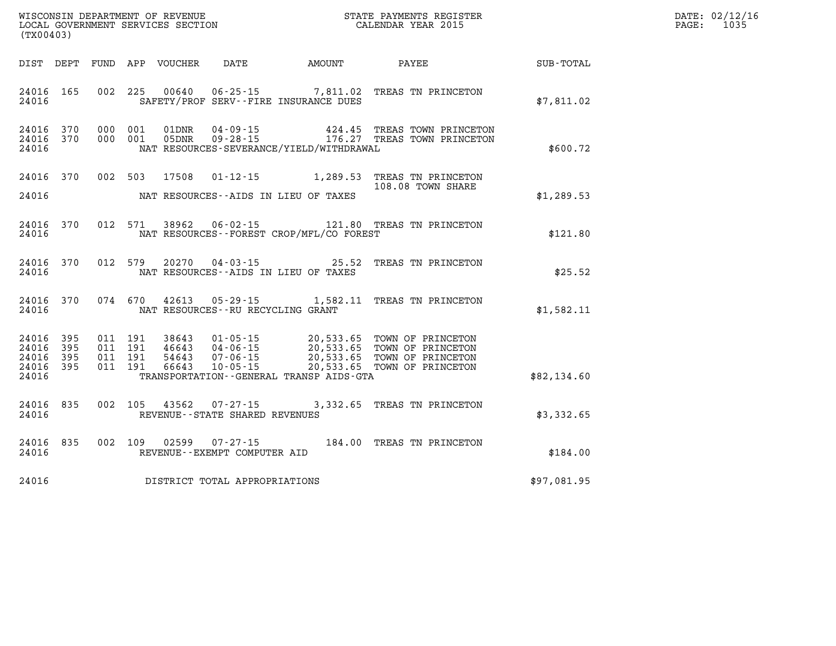| WISCONSIN DEPARTMENT OF REVENUE   | PAYMENTS REGISTER<br>3TATE | DATE: | 02/12/16 |
|-----------------------------------|----------------------------|-------|----------|
| LOCAL GOVERNMENT SERVICES SECTION | CALENDAR YEAR 2015         | PAGE  | 1035     |

| (TX00403)                                                 |                                                                                                                                                                                                                                                                 | LOCAL GOVERNMENT SERVICES SECTION CALENDAR YEAR 2015 | PAGE: | 1035 |
|-----------------------------------------------------------|-----------------------------------------------------------------------------------------------------------------------------------------------------------------------------------------------------------------------------------------------------------------|------------------------------------------------------|-------|------|
|                                                           | DIST DEPT FUND APP VOUCHER DATE AMOUNT PAYEE PAYER SUB-TOTAL                                                                                                                                                                                                    |                                                      |       |      |
| 24016 165<br>24016                                        | 002 225 00640 06-25-15 7,811.02 TREAS TN PRINCETON<br>SAFETY/PROF SERV--FIRE INSURANCE DUES                                                                                                                                                                     | \$7,811.02                                           |       |      |
| 24016 370<br>24016 370<br>24016                           | 000 001 01DNR 04-09-15  424.45 TREAS TOWN PRINCETON<br>000 001 05DNR 09-28-15  176.27 TREAS TOWN PRINCETON<br>NAT RESOURCES-SEVERANCE/YIELD/WITHDRAWAL                                                                                                          | \$600.72                                             |       |      |
| 24016                                                     | 24016 370 002 503 17508 01-12-15 1,289.53 TREAS TN PRINCETON<br>NAT RESOURCES--AIDS IN LIEU OF TAXES                                                                                                                                                            | 108.08 TOWN SHARE<br>\$1,289.53                      |       |      |
| 24016 370<br>24016                                        | 012 571 38962 06-02-15 121.80 TREAS TN PRINCETON<br>NAT RESOURCES--FOREST CROP/MFL/CO FOREST                                                                                                                                                                    | \$121.80                                             |       |      |
| 24016                                                     | 24016 370 012 579 20270 04-03-15 25.52 TREAS TN PRINCETON<br>NAT RESOURCES--AIDS IN LIEU OF TAXES                                                                                                                                                               | \$25.52                                              |       |      |
|                                                           | 24016 370 074 670 42613 05-29-15 1,582.11 TREAS TN PRINCETON<br>24016 MAT RESOURCES--RU RECYCLING GRANT                                                                                                                                                         | \$1,582.11                                           |       |      |
| 24016 395<br>24016 395<br>24016 395<br>24016 395<br>24016 | 011 191 38643 01-05-15 20,533.65 TOWN OF PRINCETON<br>011 191 46643 04-06-15 20,533.65 TOWN OF PRINCETON<br>011 191 54643 07-06-15 20,533.65 TOWN OF PRINCETON<br>011 191 66643 10-05-15 20,533.65 TOWN OF PRINCETON<br>TRANSPORTATION--GENERAL TRANSP AIDS-GTA | \$82,134.60                                          |       |      |
| 24016                                                     | 24016 835 002 105 43562 07-27-15 3,332.65 TREAS TN PRINCETON<br>REVENUE--STATE SHARED REVENUES                                                                                                                                                                  | \$3,332.65                                           |       |      |
| 24016                                                     | 24016 835 002 109 02599 07-27-15 184.00 TREAS TN PRINCETON<br>REVENUE--EXEMPT COMPUTER AID                                                                                                                                                                      | \$184.00                                             |       |      |
|                                                           | 24016 DISTRICT TOTAL APPROPRIATIONS                                                                                                                                                                                                                             | \$97,081.95                                          |       |      |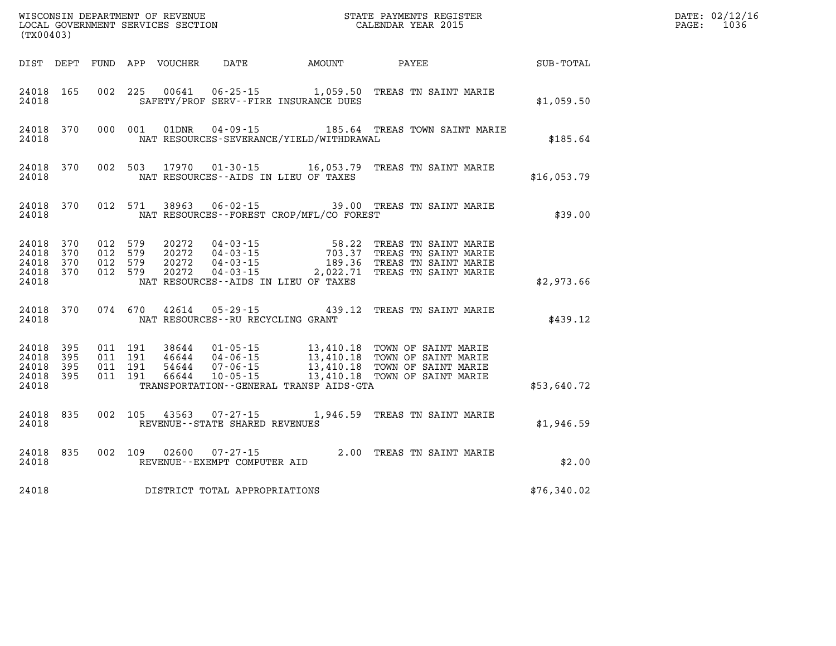| (TX00403)                                                 |     |  |                                         |                                                | WISCONSIN DEPARTMENT OF REVENUE (STATE PAYMENTS REGISTER LOCAL GOVERNMENT SERVICES SECTION                                                                                                                                                                                   | $\mathbf{F} \mathbf{E} \mathbf{R}$ | DATE: 02/12/16<br>PAGE: 1036 |
|-----------------------------------------------------------|-----|--|-----------------------------------------|------------------------------------------------|------------------------------------------------------------------------------------------------------------------------------------------------------------------------------------------------------------------------------------------------------------------------------|------------------------------------|------------------------------|
|                                                           |     |  |                                         |                                                | DIST DEPT FUND APP VOUCHER DATE AMOUNT PAYEE SUB-TOTAL                                                                                                                                                                                                                       |                                    |                              |
| 24018                                                     |     |  |                                         | SAFETY/PROF SERV--FIRE INSURANCE DUES          | 24018 165 002 225 00641 06-25-15 1,059.50 TREAS TN SAINT MARIE                                                                                                                                                                                                               | \$1,059.50                         |                              |
| 24018                                                     |     |  |                                         | NAT RESOURCES-SEVERANCE/YIELD/WITHDRAWAL       | 24018 370 000 001 01DNR 04-09-15 185.64 TREAS TOWN SAINT MARIE                                                                                                                                                                                                               | \$185.64                           |                              |
|                                                           |     |  |                                         | NAT RESOURCES -- AIDS IN LIEU OF TAXES         | 24018 370 002 503 17970 01-30-15 16,053.79 TREAS TN SAINT MARIE<br>\$16,053.79 \$16,053.79 \$16,053.79                                                                                                                                                                       |                                    |                              |
|                                                           |     |  |                                         | 24018 MAT RESOURCES--FOREST CROP/MFL/CO FOREST | 24018 370 012 571 38963 06-02-15 39.00 TREAS TN SAINT MARIE                                                                                                                                                                                                                  | \$39.00                            |                              |
| 24018 370<br>24018<br>24018 370<br>24018 370<br>24018     | 370 |  |                                         | NAT RESOURCES--AIDS IN LIEU OF TAXES           | 012 579 20272 04-03-15 58.22 TREAS TN SAINT MARIE<br>012 579 20272 04-03-15 703.37 TREAS TN SAINT MARIE<br>012 579 20272 04-03-15 189.36 TREAS TN SAINT MARIE<br>012 579 20272 04-03-15 2,022.71 TREAS TN SAINT MARIE                                                        | \$2,973.66                         |                              |
|                                                           |     |  | 24018 MAT RESOURCES--RU RECYCLING GRANT |                                                | 24018 370 074 670 42614 05-29-15 439.12 TREAS TN SAINT MARIE                                                                                                                                                                                                                 | \$439.12                           |                              |
| 24018 395<br>24018 395<br>24018 395<br>24018 395<br>24018 |     |  |                                         |                                                | 011 191 38644 01-05-15 13,410.18 TOWN OF SAINT MARIE<br>011 191 46644 04-06-15 13,410.18 TOWN OF SAINT MARIE<br>011 191 54644 07-06-15 13,410.18 TOWN OF SAINT MARIE<br>011 191 66644 10-05-15 13,410.18 TOWN OF SAINT MARIE<br>TRANSPORTATION - - GENERAL TRANSP AIDS - GTA | \$53,640.72                        |                              |
|                                                           |     |  |                                         | 24018 REVENUE - STATE SHARED REVENUES          | 24018 835 002 105 43563 07-27-15 1,946.59 TREAS TN SAINT MARIE                                                                                                                                                                                                               | \$1,946.59                         |                              |
|                                                           |     |  | REVENUE--EXEMPT COMPUTER AID            |                                                | 24018 835 002 109 02600 07-27-15 2.00 TREAS TN SAINT MARIE                                                                                                                                                                                                                   | \$2.00                             |                              |
| 24018                                                     |     |  | DISTRICT TOTAL APPROPRIATIONS           |                                                |                                                                                                                                                                                                                                                                              | \$76,340.02                        |                              |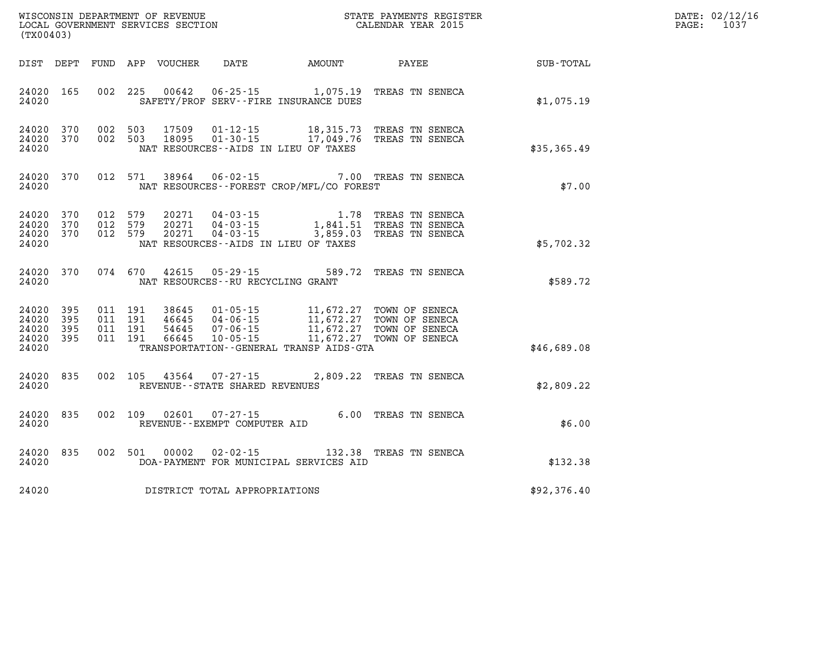| DATE: | 02/12/16 |
|-------|----------|
| PAGE: | 1037     |

| LOCAL GOVERNMENT SERVICES SECTION<br>(TX00403)                                         | CALENDAR YEAR 2015                                                                                                                                                                                                                                                                                                                                                                          |             | 1037<br>PAGE: |
|----------------------------------------------------------------------------------------|---------------------------------------------------------------------------------------------------------------------------------------------------------------------------------------------------------------------------------------------------------------------------------------------------------------------------------------------------------------------------------------------|-------------|---------------|
| DIST DEPT                                                                              |                                                                                                                                                                                                                                                                                                                                                                                             |             |               |
| 24020 165<br>24020                                                                     | 002 225 00642 06-25-15 1,075.19 TREAS TN SENECA<br>SAFETY/PROF SERV--FIRE INSURANCE DUES                                                                                                                                                                                                                                                                                                    | \$1,075.19  |               |
| 24020 370<br>24020 370<br>24020                                                        | 002 503 17509 01-12-15 18,315.73 TREAS TN SENECA<br>002 503 18095 01-30-15 17,049.76 TREAS TN SENECA<br>NAT RESOURCES -- AIDS IN LIEU OF TAXES                                                                                                                                                                                                                                              | \$35,365.49 |               |
| 24020 370<br>24020                                                                     | 012 571 38964 06-02-15 7.00 TREAS TN SENECA<br>NAT RESOURCES--FOREST CROP/MFL/CO FOREST                                                                                                                                                                                                                                                                                                     | \$7.00      |               |
| 24020<br>370<br>012 579<br>370<br>012 579<br>24020<br>24020<br>370<br>012 579<br>24020 | 20271  04-03-15   1.78   TREAS TN SENECA<br>20271  04-03-15   1,841.51   TREAS TN SENECA<br>20271  04-03-15   3,859.03   TREAS TN SENECA<br>NAT RESOURCES--AIDS IN LIEU OF TAXES                                                                                                                                                                                                            | \$5,702.32  |               |
| 24020 370<br>24020                                                                     | 074 670 42615 05-29-15 589.72 TREAS TN SENECA<br>NAT RESOURCES--RU RECYCLING GRANT                                                                                                                                                                                                                                                                                                          | \$589.72    |               |
| 24020 395<br>24020<br>395<br>24020<br>395<br>24020 395<br>24020                        | $\begin{array}{cccc} 011 & 191 & 38645 & 01\cdot 05\cdot 15 & 11\,672.27 & \text{TOWN OF SENCEA} \\ 011 & 191 & 46645 & 04\cdot 06\cdot 15 & 11\,672.27 & \text{TOWN OF SENCEA} \\ 011 & 191 & 54645 & 07\cdot 06\cdot 15 & 11\,672.27 & \text{TOWN OF SENCEA} \\ 011 & 191 & 66645 & 10\cdot 05\cdot 15 & 11\,672.27 & \text{TOWN OF SENCEA} \$<br>TRANSPORTATION--GENERAL TRANSP AIDS-GTA | \$46,689.08 |               |
| 24020<br>835<br>002 105<br>24020                                                       | 43564 07-27-15 2,809.22 TREAS TN SENECA<br>REVENUE - - STATE SHARED REVENUES                                                                                                                                                                                                                                                                                                                | \$2,809.22  |               |
| 002 109<br>24020<br>835<br>02601<br>24020                                              | 07-27-15 6.00 TREAS TN SENECA<br>REVENUE--EXEMPT COMPUTER AID                                                                                                                                                                                                                                                                                                                               | \$6.00      |               |
| 835<br>002 501<br>00002<br>24020<br>24020                                              | 02-02-15 132.38 TREAS TN SENECA<br>DOA-PAYMENT FOR MUNICIPAL SERVICES AID                                                                                                                                                                                                                                                                                                                   | \$132.38    |               |
| DISTRICT TOTAL APPROPRIATIONS<br>24020                                                 |                                                                                                                                                                                                                                                                                                                                                                                             | \$92,376.40 |               |

WISCONSIN DEPARTMENT OF REVENUE **STATE PAYMENTS REGISTER**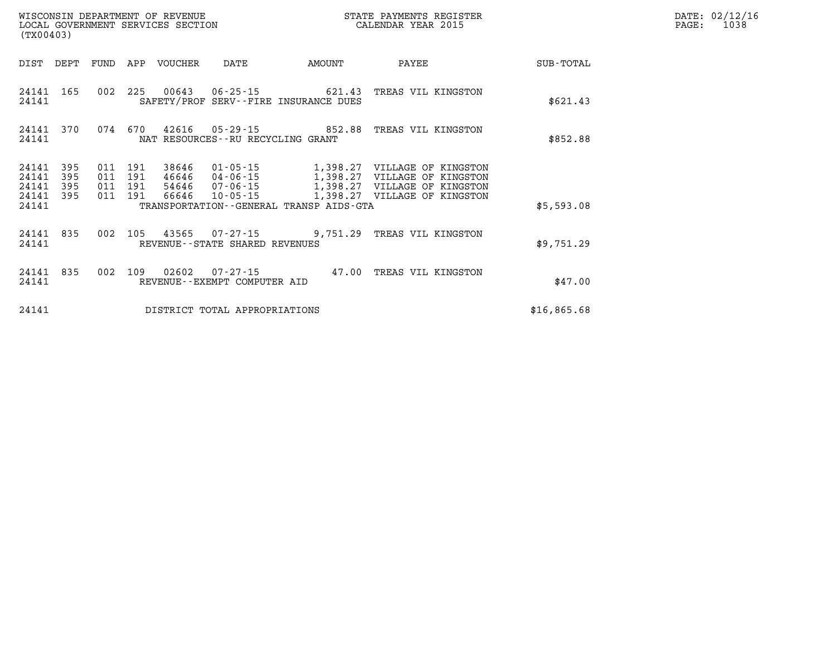| (TX00403)                   |            |                    |                                 | WISCONSIN DEPARTMENT OF REVENUE<br>LOCAL GOVERNMENT SERVICES SECTION |                                                                        | STATE PAYMENTS REGISTER<br>CALENDAR YEAR 2015                                        |             | DATE: 02/12/16<br>1038<br>$\mathtt{PAGE:}$ |
|-----------------------------|------------|--------------------|---------------------------------|----------------------------------------------------------------------|------------------------------------------------------------------------|--------------------------------------------------------------------------------------|-------------|--------------------------------------------|
|                             |            |                    | DIST DEPT FUND APP VOUCHER DATE |                                                                      | <b>EXAMPLE THE AMOUNT</b>                                              | PAYEE                                                                                | SUB-TOTAL   |                                            |
| 24141 165<br>24141          |            |                    |                                 |                                                                      | 002 225 00643 06-25-15 621.43<br>SAFETY/PROF SERV--FIRE INSURANCE DUES | TREAS VIL KINGSTON                                                                   | \$621.43    |                                            |
| 24141                       |            |                    |                                 | NAT RESOURCES--RU RECYCLING GRANT                                    |                                                                        | 24141 370 074 670 42616 05-29-15 852.88 TREAS VIL KINGSTON                           | \$852.88    |                                            |
| 24141<br>24141              | 395<br>395 | 011 191<br>011 191 | 38646                           |                                                                      |                                                                        | 01-05-15 1,398.27 VILLAGE OF KINGSTON                                                |             |                                            |
| 24141<br>24141 395<br>24141 | 395        | 011 191<br>011 191 | 66646                           |                                                                      | TRANSPORTATION--GENERAL TRANSP AIDS-GTA                                | 54646 07-06-15 1,398.27 VILLAGE OF KINGSTON<br>10-05-15 1,398.27 VILLAGE OF KINGSTON | \$5,593.08  |                                            |
| 24141 835<br>24141          |            |                    |                                 | REVENUE--STATE SHARED REVENUES                                       |                                                                        | 002 105 43565 07-27-15 9,751.29 TREAS VIL KINGSTON                                   | \$9,751.29  |                                            |
| 24141 835<br>24141          |            |                    |                                 | REVENUE--EXEMPT COMPUTER AID                                         |                                                                        | 002 109 02602 07-27-15 47.00 TREAS VIL KINGSTON                                      | \$47.00     |                                            |
| 24141                       |            |                    |                                 | DISTRICT TOTAL APPROPRIATIONS                                        |                                                                        |                                                                                      | \$16,865.68 |                                            |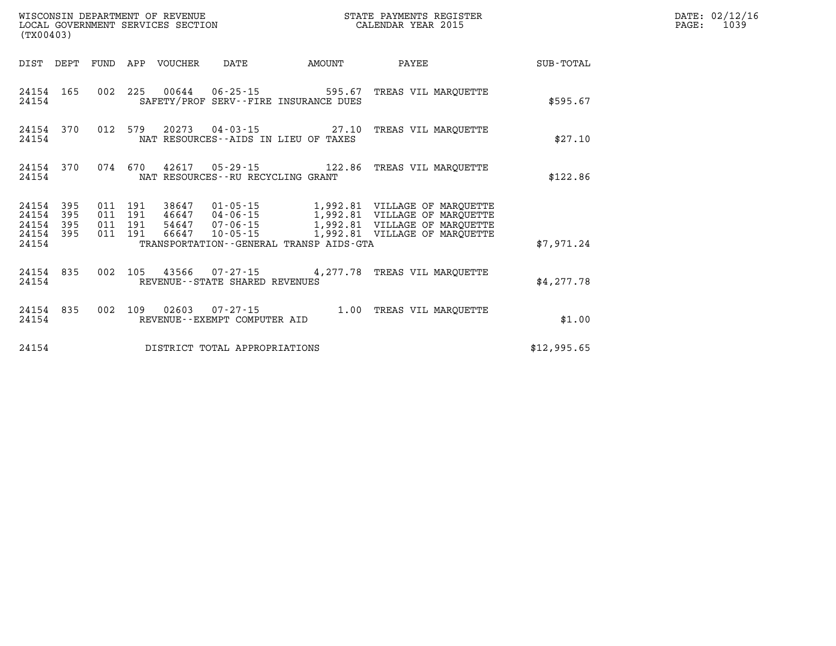| (TX00403)                                 |                          |                          |                          | WISCONSIN DEPARTMENT OF REVENUE<br>LOCAL GOVERNMENT SERVICES SECTION |                                                    | STATE PAYMENTS REGISTER<br>CALENDAR YEAR 2015                        |                                                                                                                                           |             |  |  |
|-------------------------------------------|--------------------------|--------------------------|--------------------------|----------------------------------------------------------------------|----------------------------------------------------|----------------------------------------------------------------------|-------------------------------------------------------------------------------------------------------------------------------------------|-------------|--|--|
| DIST                                      | DEPT                     | FUND                     | APP                      | VOUCHER                                                              | DATE                                               | AMOUNT                                                               | PAYEE                                                                                                                                     | SUB-TOTAL   |  |  |
| 24154<br>24154                            | 165                      | 002                      | 225                      |                                                                      | 00644 06-25-15                                     | 595.67<br>SAFETY/PROF SERV--FIRE INSURANCE DUES                      | TREAS VIL MAROUETTE                                                                                                                       | \$595.67    |  |  |
| 24154<br>24154                            | 370                      | 012                      | 579                      |                                                                      |                                                    | 20273  04 - 03 - 15  27.10<br>NAT RESOURCES -- AIDS IN LIEU OF TAXES | TREAS VIL MAROUETTE                                                                                                                       | \$27.10     |  |  |
| 24154<br>24154                            | 370                      | 074                      | 670                      | 42617                                                                | NAT RESOURCES - - RU RECYCLING GRANT               | $05 - 29 - 15$ 122.86                                                | TREAS VIL MAROUETTE                                                                                                                       | \$122.86    |  |  |
| 24154<br>24154<br>24154<br>24154<br>24154 | 395<br>395<br>395<br>395 | 011<br>011<br>011<br>011 | 191<br>191<br>191<br>191 | 38647<br>54647<br>66647                                              | 46647 04-06-15<br>$07 - 06 - 15$<br>$10 - 05 - 15$ | TRANSPORTATION--GENERAL TRANSP AIDS-GTA                              | 01-05-15 1,992.81 VILLAGE OF MARQUETTE<br>1,992.81 VILLAGE OF MARQUETTE<br>1,992.81 VILLAGE OF MARQUETTE<br>1,992.81 VILLAGE OF MARQUETTE | \$7,971.24  |  |  |
| 24154<br>24154                            | 835                      | 002                      | 105                      |                                                                      | REVENUE--STATE SHARED REVENUES                     |                                                                      | 43566 07-27-15 4, 277.78 TREAS VIL MARQUETTE                                                                                              | \$4,277.78  |  |  |
| 24154<br>24154                            | 835                      | 002                      | 109                      | 02603                                                                | $07 - 27 - 15$<br>REVENUE - - EXEMPT COMPUTER AID  | 1.00                                                                 | TREAS VIL MAROUETTE                                                                                                                       | \$1.00      |  |  |
| 24154                                     |                          |                          |                          |                                                                      | DISTRICT TOTAL APPROPRIATIONS                      |                                                                      |                                                                                                                                           | \$12,995.65 |  |  |

**DATE: 02/12/16<br>PAGE: 1039**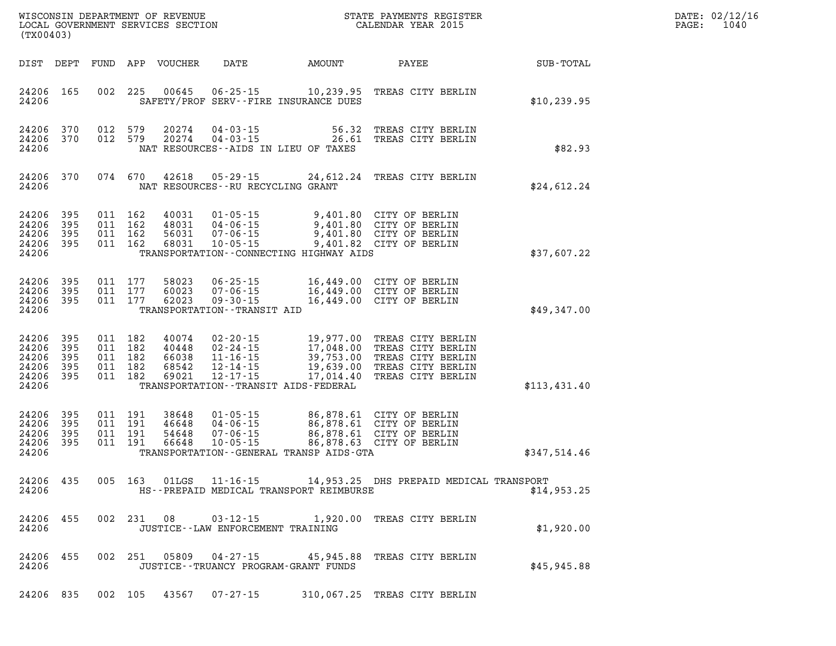| DATE: | 02/12/16 |
|-------|----------|
| PAGE: | 1040     |

| (TX00403) |                                                                        |           |  |                                                     |                                           |                                                          |                                           | STATE PAYMENTS REGISTER                                                                                                                                                                              |                      | DATE: 02/12/1<br>PAGE:<br>1040 |
|-----------|------------------------------------------------------------------------|-----------|--|-----------------------------------------------------|-------------------------------------------|----------------------------------------------------------|-------------------------------------------|------------------------------------------------------------------------------------------------------------------------------------------------------------------------------------------------------|----------------------|--------------------------------|
|           | DIST DEPT                                                              |           |  |                                                     | FUND APP VOUCHER                          | DATE                                                     | AMOUNT                                    | PAYEE                                                                                                                                                                                                | $\texttt{SUB-TOTAL}$ |                                |
|           | 24206 165<br>24206                                                     |           |  | 002 225                                             | 00645                                     |                                                          | SAFETY/PROF SERV--FIRE INSURANCE DUES     | 06-25-15 10,239.95 TREAS CITY BERLIN                                                                                                                                                                 | \$10, 239.95         |                                |
|           | 24206 370<br>24206 370<br>24206                                        |           |  | 012 579<br>012 579                                  |                                           |                                                          | NAT RESOURCES--AIDS IN LIEU OF TAXES      | 20274  04-03-15  56.32  TREAS CITY BERLIN<br>20274  04-03-15  26.61  TREAS CITY BERLIN                                                                                                               | \$82.93              |                                |
|           | 24206 370<br>24206                                                     |           |  | 074 670                                             |                                           | NAT RESOURCES--RU RECYCLING GRANT                        |                                           | 42618  05-29-15  24,612.24  TREAS CITY BERLIN                                                                                                                                                        | \$24,612.24          |                                |
|           | 24206 395<br>24206 395<br>24206 395<br>24206 395<br>24206              |           |  | 011 162<br>011 162<br>011 162<br>011 162            | 40031<br>48031<br>56031<br>68031          | 04-06-15<br>$07 - 06 - 15$<br>$10 - 05 - 15$             | TRANSPORTATION--CONNECTING HIGHWAY AIDS   | 01-05-15 9,401.80 CITY OF BERLIN<br>04-06-15 9,401.80 CITY OF BERLIN<br>07-06-15 9,401.80 CITY OF BERLIN<br>9,401.82 CITY OF BERLIN                                                                  | \$37,607.22          |                                |
|           | 24206 395<br>24206 395<br>24206 395<br>24206                           |           |  | 011 177<br>011 177<br>011 177                       | 58023<br>60023<br>62023                   | TRANSPORTATION - - TRANSIT AID                           |                                           |                                                                                                                                                                                                      | \$49,347.00          |                                |
|           | 24206 395<br>24206 395<br>24206 395<br>24206 395<br>24206 395<br>24206 |           |  | 011 182<br>011 182<br>011 182<br>011 182<br>011 182 | 40074<br>40448<br>66038<br>68542<br>69021 |                                                          | TRANSPORTATION - - TRANSIT AIDS - FEDERAL | 02-20-15 19,977.00 TREAS CITY BERLIN<br>02-24-15 17,048.00 TREAS CITY BERLIN<br>11-16-15 39,753.00 TREAS CITY BERLIN<br>12-14-15 19,639.00 TREAS CITY BERLIN<br>12-17-15 17,014.40 TREAS CITY BERLIN | \$113,431.40         |                                |
|           | 24206 395<br>24206 395<br>24206 395<br>24206 395<br>24206              |           |  | 011 191<br>011 191<br>011 191<br>011 191            | 38648<br>46648<br>54648<br>66648          | $01 - 05 - 15$<br>04-06-15<br>07-06-15<br>$10 - 05 - 15$ | TRANSPORTATION--GENERAL TRANSP AIDS-GTA   | 86,878.61 CITY OF BERLIN<br>00,078.01 CITY OF BERLIN<br>86,878.61 CITY OF BERLIN<br>86,878.61 CITY OF BERLIN<br>86,878.63 CITY OF BERLIN<br>86,878.63 CITY OF BERLIN                                 | \$347,514.46         |                                |
|           | 24206 435<br>24206                                                     |           |  | 005 163                                             |                                           | 01LGS 11-16-15                                           | HS--PREPAID MEDICAL TRANSPORT REIMBURSE   | 14,953.25 DHS PREPAID MEDICAL TRANSPORT                                                                                                                                                              | \$14,953.25          |                                |
|           | 24206                                                                  | 24206 455 |  |                                                     | 002 231 08                                | JUSTICE -- LAW ENFORCEMENT TRAINING                      |                                           | 03-12-15 1,920.00 TREAS CITY BERLIN                                                                                                                                                                  | \$1,920.00           |                                |
|           | 24206                                                                  | 24206 455 |  | 002 251                                             |                                           | 05809 04-27-15                                           | JUSTICE - - TRUANCY PROGRAM - GRANT FUNDS | 45,945.88 TREAS CITY BERLIN                                                                                                                                                                          | \$45,945.88          |                                |
|           |                                                                        |           |  |                                                     |                                           |                                                          |                                           | 24206 835 002 105 43567 07-27-15 310,067.25 TREAS CITY BERLIN                                                                                                                                        |                      |                                |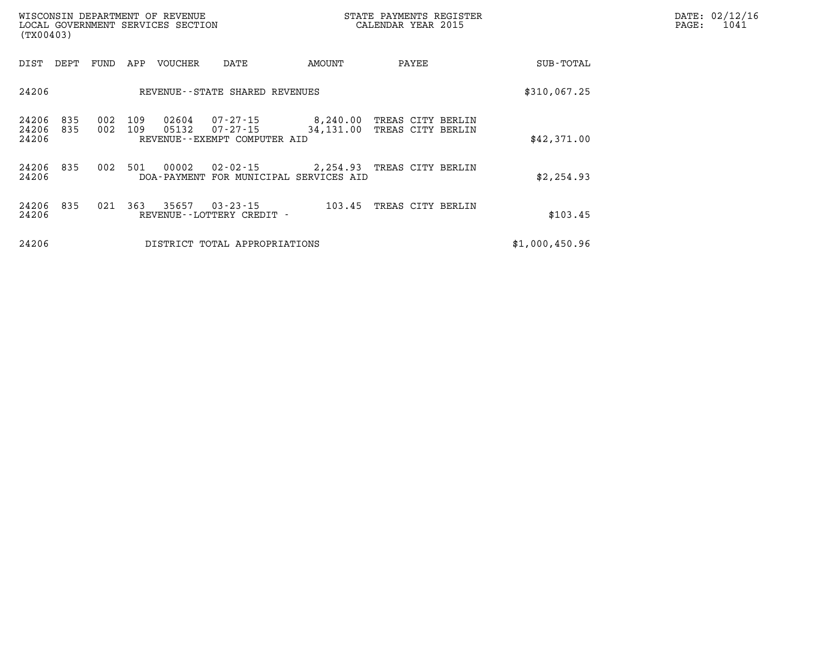| WISCONSIN DEPARTMENT OF REVENUE<br>LOCAL GOVERNMENT SERVICES SECTION<br>(TX00403) |            |            |            |                |                                                      |                            | STATE PAYMENTS REGISTER<br>CALENDAR YEAR 2015 |  |                | DATE: 02/12/16<br>1041<br>$\mathtt{PAGE}$ : |
|-----------------------------------------------------------------------------------|------------|------------|------------|----------------|------------------------------------------------------|----------------------------|-----------------------------------------------|--|----------------|---------------------------------------------|
| DIST DEPT                                                                         |            | FUND       | APP        | VOUCHER        | DATE                                                 | AMOUNT                     | PAYEE                                         |  | SUB-TOTAL      |                                             |
| 24206                                                                             |            |            |            |                | REVENUE--STATE SHARED REVENUES                       | \$310,067.25               |                                               |  |                |                                             |
| 24206<br>24206<br>24206                                                           | 835<br>835 | 002<br>002 | 109<br>109 | 02604<br>05132 | 07-27-15<br>07-27-15<br>REVENUE--EXEMPT COMPUTER AID | 8,240.00<br>34,131.00      | TREAS CITY BERLIN<br>TREAS CITY BERLIN        |  | \$42,371.00    |                                             |
| 24206<br>24206                                                                    | 835        | 002        | 501        | 00002          | 02-02-15<br>DOA-PAYMENT FOR MUNICIPAL SERVICES AID   | 2,254.93 TREAS CITY BERLIN |                                               |  | \$2,254.93     |                                             |
| 24206<br>24206                                                                    | 835        | 021        | 363        | 35657          | $03 - 23 - 15$<br>REVENUE - - LOTTERY CREDIT -       | 103.45                     | TREAS CITY BERLIN                             |  | \$103.45       |                                             |
| 24206                                                                             |            |            |            |                | DISTRICT TOTAL APPROPRIATIONS                        |                            |                                               |  | \$1,000,450.96 |                                             |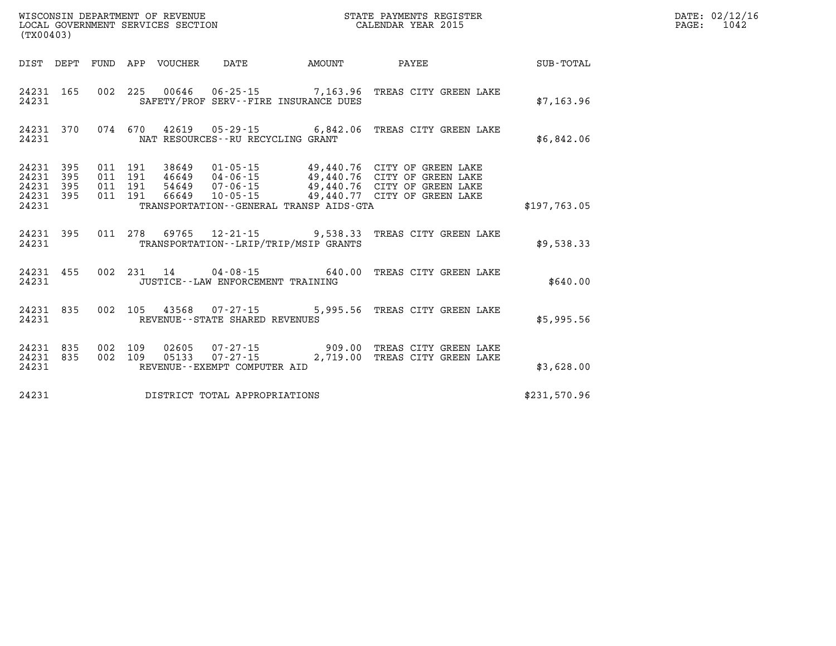| (TX00403)                                         |            |                          | WISCONSIN DEPARTMENT OF REVENUE<br>LOCAL GOVERNMENT SERVICES SECTION |                                      | STATE PAYMENTS REGISTER<br>CALENDAR YEAR 2015     |                                                                                                                                                                                                      |              |  |  |  |
|---------------------------------------------------|------------|--------------------------|----------------------------------------------------------------------|--------------------------------------|---------------------------------------------------|------------------------------------------------------------------------------------------------------------------------------------------------------------------------------------------------------|--------------|--|--|--|
| DIST                                              | DEPT       | FUND                     | APP VOUCHER                                                          | DATE                                 | AMOUNT                                            | PAYEE                                                                                                                                                                                                | SUB-TOTAL    |  |  |  |
| 24231<br>24231                                    | 165        | 002                      | 225                                                                  |                                      | SAFETY/PROF SERV--FIRE INSURANCE DUES             | 00646  06-25-15  7,163.96  TREAS CITY GREEN LAKE                                                                                                                                                     | \$7,163.96   |  |  |  |
| 24231<br>24231                                    | 370        | 074                      |                                                                      | NAT RESOURCES - - RU RECYCLING GRANT |                                                   | 670  42619  05-29-15  6,842.06  TREAS CITY GREEN LAKE                                                                                                                                                | \$6,842.06   |  |  |  |
| 24231<br>24231<br>24231 395<br>24231 395<br>24231 | 395<br>395 | 011<br>011<br>011<br>011 | 191<br>191<br>191<br>191<br>66649                                    |                                      | TRANSPORTATION--GENERAL TRANSP AIDS-GTA           | 38649   01-05-15   49,440.76   CITY OF GREEN LAKE<br>46649   04-06-15   49,440.76   CITY OF GREEN LAKE<br>54649   07-06-15   49,440.76   CITY OF GREEN LAKE<br>10-05-15 49,440.77 CITY OF GREEN LAKE | \$197,763.05 |  |  |  |
| 24231<br>24231                                    | 395        | 011                      |                                                                      |                                      | TRANSPORTATION - - LRIP/TRIP/MSIP GRANTS          | 278 69765 12-21-15 9,538.33 TREAS CITY GREEN LAKE                                                                                                                                                    | \$9,538.33   |  |  |  |
| 24231<br>24231                                    | 455        | 002                      | 231<br>14                                                            | JUSTICE - - LAW ENFORCEMENT TRAINING | $04 - 08 - 15$ 640.00                             | TREAS CITY GREEN LAKE                                                                                                                                                                                | \$640.00     |  |  |  |
| 24231<br>24231                                    | 835        | 002                      | 105                                                                  | REVENUE--STATE SHARED REVENUES       | 43568 07-27-15 5,995.56                           | TREAS CITY GREEN LAKE                                                                                                                                                                                | \$5,995.56   |  |  |  |
| 24231<br>24231<br>24231                           | 835<br>835 | 002<br>002               | 109<br>02605<br>05133<br>109                                         | REVENUE--EXEMPT COMPUTER AID         | $07 - 27 - 15$ 909.00<br>$07 - 27 - 15$ 2, 719.00 | TREAS CITY GREEN LAKE<br>TREAS CITY GREEN LAKE                                                                                                                                                       | \$3,628.00   |  |  |  |
| 24231                                             |            |                          |                                                                      | DISTRICT TOTAL APPROPRIATIONS        |                                                   |                                                                                                                                                                                                      | \$231,570.96 |  |  |  |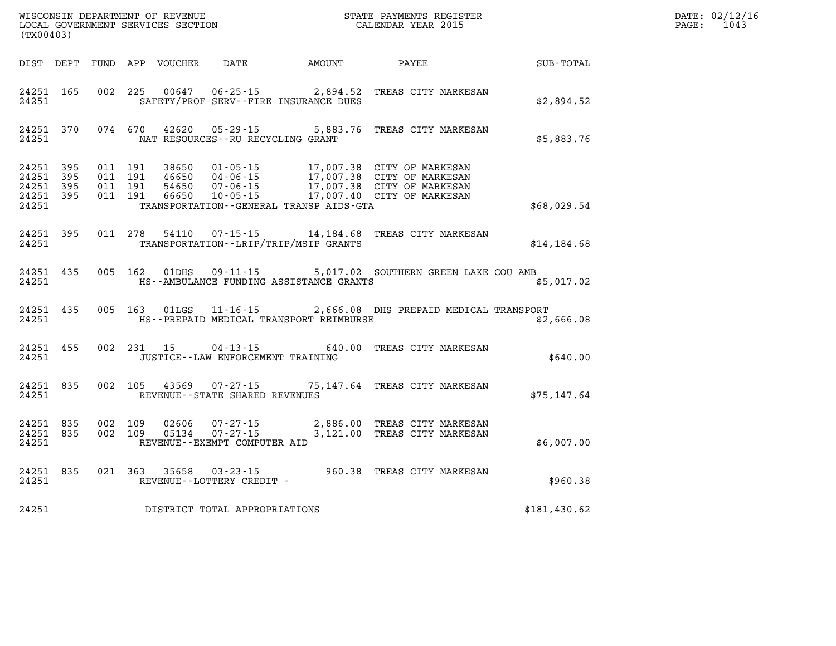| (TX00403)                                                 |           |                                          |  |               |                                                          |                                              |                                                                                                                                                                                              | DATE: 02/12/16<br>$\mathtt{PAGE:}$<br>1043 |  |
|-----------------------------------------------------------|-----------|------------------------------------------|--|---------------|----------------------------------------------------------|----------------------------------------------|----------------------------------------------------------------------------------------------------------------------------------------------------------------------------------------------|--------------------------------------------|--|
|                                                           |           |                                          |  |               |                                                          | DIST DEPT FUND APP VOUCHER DATE AMOUNT PAYEE |                                                                                                                                                                                              | $\texttt{SUB-TOTAL}$                       |  |
| 24251 165<br>24251                                        |           |                                          |  | 002 225 00647 |                                                          | SAFETY/PROF SERV--FIRE INSURANCE DUES        | 06-25-15 2,894.52 TREAS CITY MARKESAN                                                                                                                                                        | \$2,894.52                                 |  |
| 24251                                                     |           |                                          |  |               | NAT RESOURCES--RU RECYCLING GRANT                        |                                              | 24251 370 074 670 42620 05-29-15 5,883.76 TREAS CITY MARKESAN                                                                                                                                | \$5,883.76                                 |  |
| 24251 395<br>24251 395<br>24251 395<br>24251 395<br>24251 |           | 011 191<br>011 191<br>011 191<br>011 191 |  |               |                                                          | TRANSPORTATION--GENERAL TRANSP AIDS-GTA      | 38650  01-05-15  17,007.38  CITY OF MARKESAN<br>46650  04-06-15  17,007.38  CITY OF MARKESAN<br>54650  07-06-15  17,007.38  CITY OF MARKESAN<br>66650  10-05-15  17,007.40  CITY OF MARKESAN | \$68,029.54                                |  |
| 24251                                                     | 24251 395 |                                          |  |               |                                                          | TRANSPORTATION - - LRIP/TRIP/MSIP GRANTS     | 011  278  54110  07-15-15  14,184.68  TREAS CITY MARKESAN                                                                                                                                    | \$14,184.68                                |  |
| 24251                                                     | 24251 435 |                                          |  |               |                                                          | HS--AMBULANCE FUNDING ASSISTANCE GRANTS      | 005 162 01DHS 09-11-15 5,017.02 SOUTHERN GREEN LAKE COU AMB                                                                                                                                  | \$5,017.02                                 |  |
| 24251                                                     |           |                                          |  |               |                                                          | HS--PREPAID MEDICAL TRANSPORT REIMBURSE      | 24251 435 005 163 01LGS 11-16-15 2,666.08 DHS PREPAID MEDICAL TRANSPORT                                                                                                                      | \$2,666.08                                 |  |
| 24251                                                     | 24251 455 |                                          |  | 002 231 15    | JUSTICE -- LAW ENFORCEMENT TRAINING                      |                                              | 04-13-15 640.00 TREAS CITY MARKESAN                                                                                                                                                          | \$640.00                                   |  |
| 24251 835<br>24251                                        |           |                                          |  |               | 002 105 43569 07-27-15<br>REVENUE--STATE SHARED REVENUES |                                              | 75,147.64 TREAS CITY MARKESAN                                                                                                                                                                | \$75,147.64                                |  |
| 24251 835<br>24251                                        | 24251 835 | 002 109<br>002 109                       |  |               | REVENUE--EXEMPT COMPUTER AID                             |                                              |                                                                                                                                                                                              | \$6,007.00                                 |  |
| 24251                                                     |           |                                          |  |               | REVENUE--LOTTERY CREDIT -                                |                                              | 24251 835 021 363 35658 03-23-15 960.38 TREAS CITY MARKESAN                                                                                                                                  | \$960.38                                   |  |
| 24251                                                     |           |                                          |  |               | DISTRICT TOTAL APPROPRIATIONS                            |                                              |                                                                                                                                                                                              | \$181,430.62                               |  |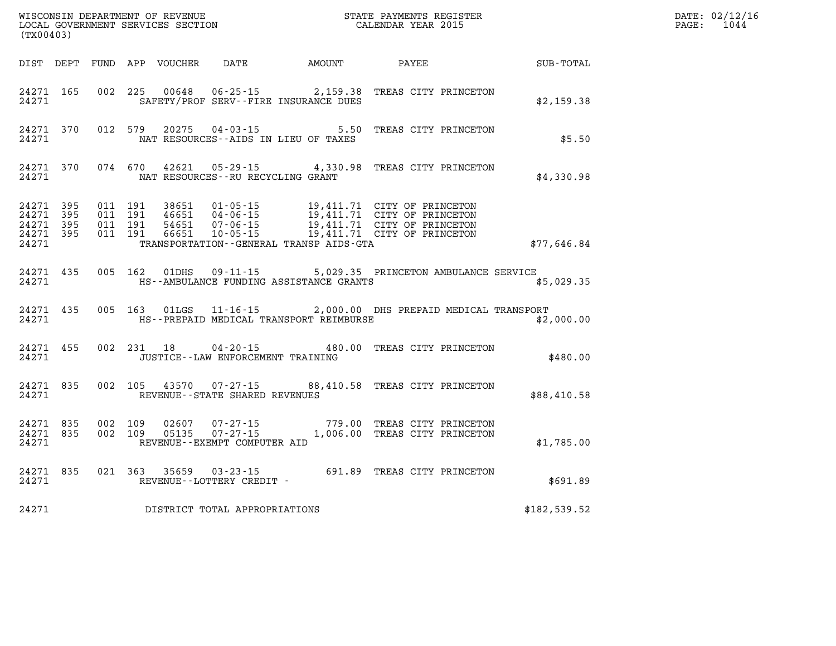| WISCONSIN DEPARTMENT OF REVENUE<br>LOCAL GOVERNMENT SERVICES SECTION TERM COLLENDAR YEAR 2015<br>(TX00403) |           |                                          |  |                         |                                                        |                                              |                                                                                                                                                                                                  |              | DATE: 02/12/16<br>$\mathtt{PAGE:}$<br>1044 |
|------------------------------------------------------------------------------------------------------------|-----------|------------------------------------------|--|-------------------------|--------------------------------------------------------|----------------------------------------------|--------------------------------------------------------------------------------------------------------------------------------------------------------------------------------------------------|--------------|--------------------------------------------|
|                                                                                                            |           |                                          |  |                         |                                                        | DIST DEPT FUND APP VOUCHER DATE AMOUNT PAYEE |                                                                                                                                                                                                  | SUB-TOTAL    |                                            |
| 24271 165<br>24271                                                                                         |           |                                          |  |                         |                                                        | SAFETY/PROF SERV--FIRE INSURANCE DUES        | 002 225 00648 06-25-15 2,159.38 TREAS CITY PRINCETON                                                                                                                                             | \$2,159.38   |                                            |
| 24271                                                                                                      |           |                                          |  | 24271 370 012 579 20275 | $04 - 03 - 15$<br>NAT RESOURCES--AIDS IN LIEU OF TAXES |                                              | 5.50 TREAS CITY PRINCETON                                                                                                                                                                        | \$5.50       |                                            |
| 24271                                                                                                      |           |                                          |  |                         | NAT RESOURCES--RU RECYCLING GRANT                      |                                              | 24271 370 074 670 42621 05-29-15 4,330.98 TREAS CITY PRINCETON                                                                                                                                   | \$4,330.98   |                                            |
| 24271 395<br>24271 395<br>24271 395<br>24271 395<br>24271                                                  |           | 011 191<br>011 191<br>011 191<br>011 191 |  |                         |                                                        | TRANSPORTATION - - GENERAL TRANSP AIDS - GTA | 38651  01-05-15  19,411.71  CITY OF PRINCETON<br>46651  04-06-15  19,411.71  CITY OF PRINCETON<br>54651  07-06-15  19,411.71  CITY OF PRINCETON<br>66651  10-05-15  19,411.71  CITY OF PRINCETON | \$77,646.84  |                                            |
|                                                                                                            | 24271     |                                          |  |                         |                                                        | HS--AMBULANCE FUNDING ASSISTANCE GRANTS      | 24271 435 005 162 01DHS 09-11-15 5,029.35 PRINCETON AMBULANCE SERVICE                                                                                                                            | \$5,029.35   |                                            |
| 24271                                                                                                      |           |                                          |  |                         |                                                        | HS--PREPAID MEDICAL TRANSPORT REIMBURSE      | 24271 435 005 163 01LGS 11-16-15 2,000.00 DHS PREPAID MEDICAL TRANSPORT                                                                                                                          | \$2,000.00   |                                            |
| 24271                                                                                                      |           |                                          |  | 24271 455 002 231 18    | JUSTICE - - LAW ENFORCEMENT TRAINING                   |                                              | 04-20-15 480.00 TREAS CITY PRINCETON                                                                                                                                                             | \$480.00     |                                            |
| 24271 835<br>24271                                                                                         |           |                                          |  |                         | REVENUE--STATE SHARED REVENUES                         |                                              | 002 105 43570 07-27-15 88,410.58 TREAS CITY PRINCETON                                                                                                                                            | \$88,410.58  |                                            |
| 24271 835<br>24271                                                                                         | 24271 835 | 002 109<br>002 109                       |  |                         | REVENUE--EXEMPT COMPUTER AID                           |                                              | 02607  07-27-15  779.00 TREAS CITY PRINCETON<br>05135  07-27-15   1,006.00 TREAS CITY PRINCETON                                                                                                  | \$1,785.00   |                                            |
| 24271                                                                                                      |           |                                          |  |                         | REVENUE--LOTTERY CREDIT -                              |                                              | 24271 835 021 363 35659 03-23-15 691.89 TREAS CITY PRINCETON                                                                                                                                     | \$691.89     |                                            |
| 24271                                                                                                      |           |                                          |  |                         | DISTRICT TOTAL APPROPRIATIONS                          |                                              |                                                                                                                                                                                                  | \$182,539.52 |                                            |